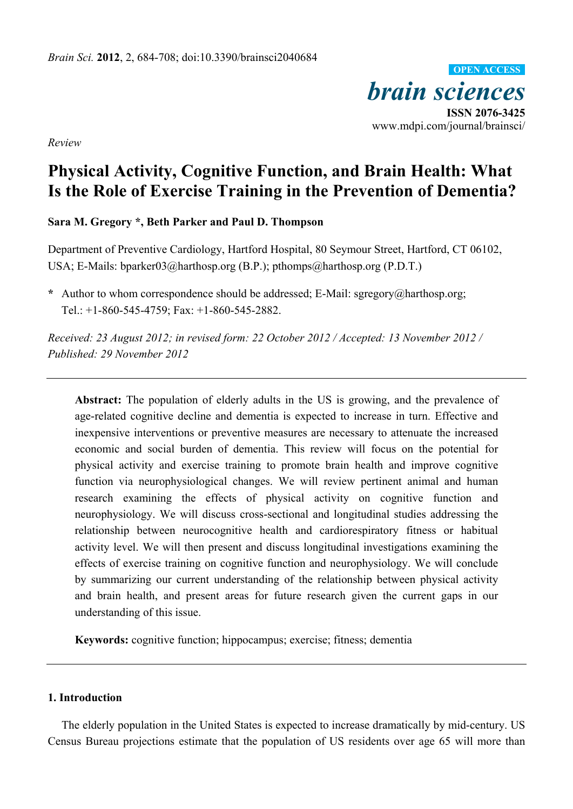*brain sciences*  **ISSN 2076-3425**  www.mdpi.com/journal/brainsci/ **OPEN ACCESS**

*Review* 

# **Physical Activity, Cognitive Function, and Brain Health: What Is the Role of Exercise Training in the Prevention of Dementia?**

**Sara M. Gregory \*, Beth Parker and Paul D. Thompson** 

Department of Preventive Cardiology, Hartford Hospital, 80 Seymour Street, Hartford, CT 06102, USA; E-Mails: bparker03@harthosp.org (B.P.); pthomps@harthosp.org (P.D.T.)

**\*** Author to whom correspondence should be addressed; E-Mail: sgregory@harthosp.org; Tel.: +1-860-545-4759; Fax: +1-860-545-2882.

*Received: 23 August 2012; in revised form: 22 October 2012 / Accepted: 13 November 2012 / Published: 29 November 2012* 

**Abstract:** The population of elderly adults in the US is growing, and the prevalence of age-related cognitive decline and dementia is expected to increase in turn. Effective and inexpensive interventions or preventive measures are necessary to attenuate the increased economic and social burden of dementia. This review will focus on the potential for physical activity and exercise training to promote brain health and improve cognitive function via neurophysiological changes. We will review pertinent animal and human research examining the effects of physical activity on cognitive function and neurophysiology. We will discuss cross-sectional and longitudinal studies addressing the relationship between neurocognitive health and cardiorespiratory fitness or habitual activity level. We will then present and discuss longitudinal investigations examining the effects of exercise training on cognitive function and neurophysiology. We will conclude by summarizing our current understanding of the relationship between physical activity and brain health, and present areas for future research given the current gaps in our understanding of this issue.

**Keywords:** cognitive function; hippocampus; exercise; fitness; dementia

## **1. Introduction**

The elderly population in the United States is expected to increase dramatically by mid-century. US Census Bureau projections estimate that the population of US residents over age 65 will more than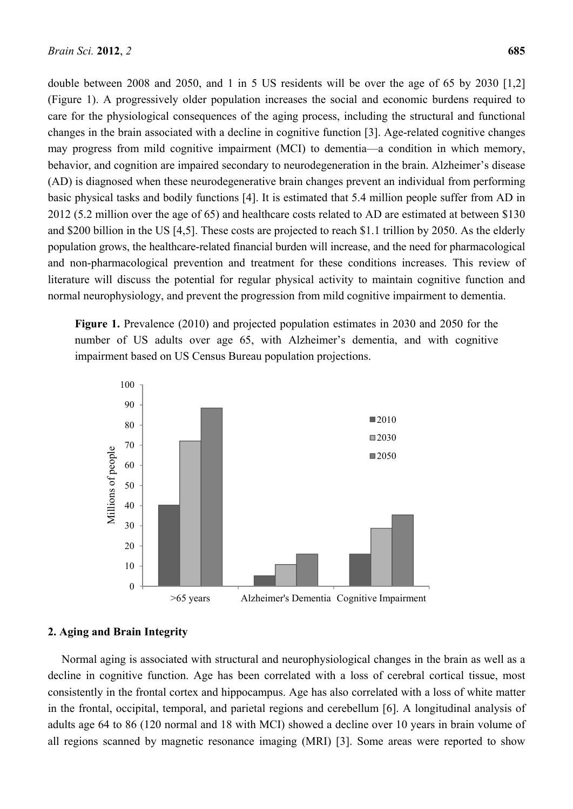double between 2008 and 2050, and 1 in 5 US residents will be over the age of 65 by 2030 [1,2] (Figure 1). A progressively older population increases the social and economic burdens required to care for the physiological consequences of the aging process, including the structural and functional changes in the brain associated with a decline in cognitive function [3]. Age-related cognitive changes may progress from mild cognitive impairment (MCI) to dementia—a condition in which memory, behavior, and cognition are impaired secondary to neurodegeneration in the brain. Alzheimer's disease (AD) is diagnosed when these neurodegenerative brain changes prevent an individual from performing basic physical tasks and bodily functions [4]. It is estimated that 5.4 million people suffer from AD in 2012 (5.2 million over the age of 65) and healthcare costs related to AD are estimated at between \$130 and \$200 billion in the US [4,5]. These costs are projected to reach \$1.1 trillion by 2050. As the elderly population grows, the healthcare-related financial burden will increase, and the need for pharmacological and non-pharmacological prevention and treatment for these conditions increases. This review of literature will discuss the potential for regular physical activity to maintain cognitive function and normal neurophysiology, and prevent the progression from mild cognitive impairment to dementia.

**Figure 1.** Prevalence (2010) and projected population estimates in 2030 and 2050 for the number of US adults over age 65, with Alzheimer's dementia, and with cognitive impairment based on US Census Bureau population projections.



# **2. Aging and Brain Integrity**

Normal aging is associated with structural and neurophysiological changes in the brain as well as a decline in cognitive function. Age has been correlated with a loss of cerebral cortical tissue, most consistently in the frontal cortex and hippocampus. Age has also correlated with a loss of white matter in the frontal, occipital, temporal, and parietal regions and cerebellum [6]. A longitudinal analysis of adults age 64 to 86 (120 normal and 18 with MCI) showed a decline over 10 years in brain volume of all regions scanned by magnetic resonance imaging (MRI) [3]. Some areas were reported to show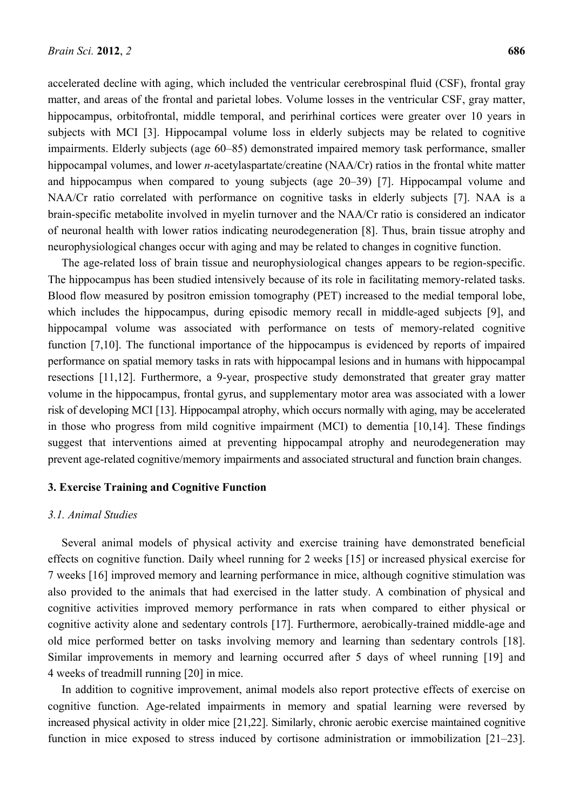accelerated decline with aging, which included the ventricular cerebrospinal fluid (CSF), frontal gray matter, and areas of the frontal and parietal lobes. Volume losses in the ventricular CSF, gray matter, hippocampus, orbitofrontal, middle temporal, and perirhinal cortices were greater over 10 years in subjects with MCI [3]. Hippocampal volume loss in elderly subjects may be related to cognitive impairments. Elderly subjects (age 60–85) demonstrated impaired memory task performance, smaller hippocampal volumes, and lower *n*-acetylaspartate/creatine (NAA/Cr) ratios in the frontal white matter and hippocampus when compared to young subjects (age 20–39) [7]. Hippocampal volume and NAA/Cr ratio correlated with performance on cognitive tasks in elderly subjects [7]. NAA is a brain-specific metabolite involved in myelin turnover and the NAA/Cr ratio is considered an indicator of neuronal health with lower ratios indicating neurodegeneration [8]. Thus, brain tissue atrophy and neurophysiological changes occur with aging and may be related to changes in cognitive function.

The age-related loss of brain tissue and neurophysiological changes appears to be region-specific. The hippocampus has been studied intensively because of its role in facilitating memory-related tasks. Blood flow measured by positron emission tomography (PET) increased to the medial temporal lobe, which includes the hippocampus, during episodic memory recall in middle-aged subjects [9], and hippocampal volume was associated with performance on tests of memory-related cognitive function [7,10]. The functional importance of the hippocampus is evidenced by reports of impaired performance on spatial memory tasks in rats with hippocampal lesions and in humans with hippocampal resections [11,12]. Furthermore, a 9-year, prospective study demonstrated that greater gray matter volume in the hippocampus, frontal gyrus, and supplementary motor area was associated with a lower risk of developing MCI [13]. Hippocampal atrophy, which occurs normally with aging, may be accelerated in those who progress from mild cognitive impairment (MCI) to dementia [10,14]. These findings suggest that interventions aimed at preventing hippocampal atrophy and neurodegeneration may prevent age-related cognitive/memory impairments and associated structural and function brain changes.

#### **3. Exercise Training and Cognitive Function**

#### *3.1. Animal Studies*

Several animal models of physical activity and exercise training have demonstrated beneficial effects on cognitive function. Daily wheel running for 2 weeks [15] or increased physical exercise for 7 weeks [16] improved memory and learning performance in mice, although cognitive stimulation was also provided to the animals that had exercised in the latter study. A combination of physical and cognitive activities improved memory performance in rats when compared to either physical or cognitive activity alone and sedentary controls [17]. Furthermore, aerobically-trained middle-age and old mice performed better on tasks involving memory and learning than sedentary controls [18]. Similar improvements in memory and learning occurred after 5 days of wheel running [19] and 4 weeks of treadmill running [20] in mice.

In addition to cognitive improvement, animal models also report protective effects of exercise on cognitive function. Age-related impairments in memory and spatial learning were reversed by increased physical activity in older mice [21,22]. Similarly, chronic aerobic exercise maintained cognitive function in mice exposed to stress induced by cortisone administration or immobilization [21–23].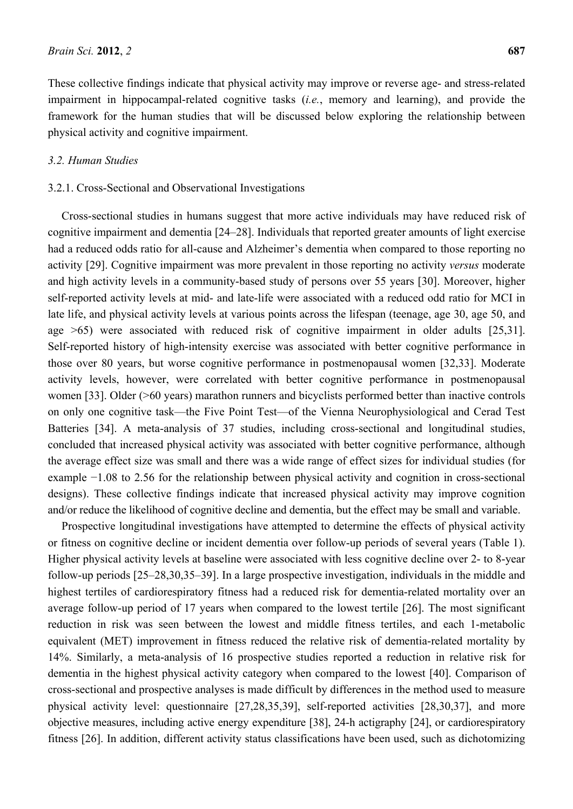These collective findings indicate that physical activity may improve or reverse age- and stress-related impairment in hippocampal-related cognitive tasks (*i.e.*, memory and learning), and provide the framework for the human studies that will be discussed below exploring the relationship between physical activity and cognitive impairment.

#### *3.2. Human Studies*

## 3.2.1. Cross-Sectional and Observational Investigations

Cross-sectional studies in humans suggest that more active individuals may have reduced risk of cognitive impairment and dementia [24–28]. Individuals that reported greater amounts of light exercise had a reduced odds ratio for all-cause and Alzheimer's dementia when compared to those reporting no activity [29]. Cognitive impairment was more prevalent in those reporting no activity *versus* moderate and high activity levels in a community-based study of persons over 55 years [30]. Moreover, higher self-reported activity levels at mid- and late-life were associated with a reduced odd ratio for MCI in late life, and physical activity levels at various points across the lifespan (teenage, age 30, age 50, and age >65) were associated with reduced risk of cognitive impairment in older adults [25,31]. Self-reported history of high-intensity exercise was associated with better cognitive performance in those over 80 years, but worse cognitive performance in postmenopausal women [32,33]. Moderate activity levels, however, were correlated with better cognitive performance in postmenopausal women [33]. Older (>60 years) marathon runners and bicyclists performed better than inactive controls on only one cognitive task—the Five Point Test—of the Vienna Neurophysiological and Cerad Test Batteries [34]. A meta-analysis of 37 studies, including cross-sectional and longitudinal studies, concluded that increased physical activity was associated with better cognitive performance, although the average effect size was small and there was a wide range of effect sizes for individual studies (for example −1.08 to 2.56 for the relationship between physical activity and cognition in cross-sectional designs). These collective findings indicate that increased physical activity may improve cognition and/or reduce the likelihood of cognitive decline and dementia, but the effect may be small and variable.

Prospective longitudinal investigations have attempted to determine the effects of physical activity or fitness on cognitive decline or incident dementia over follow-up periods of several years (Table 1). Higher physical activity levels at baseline were associated with less cognitive decline over 2- to 8-year follow-up periods [25–28,30,35–39]. In a large prospective investigation, individuals in the middle and highest tertiles of cardiorespiratory fitness had a reduced risk for dementia-related mortality over an average follow-up period of 17 years when compared to the lowest tertile [26]. The most significant reduction in risk was seen between the lowest and middle fitness tertiles, and each 1-metabolic equivalent (MET) improvement in fitness reduced the relative risk of dementia-related mortality by 14%. Similarly, a meta-analysis of 16 prospective studies reported a reduction in relative risk for dementia in the highest physical activity category when compared to the lowest [40]. Comparison of cross-sectional and prospective analyses is made difficult by differences in the method used to measure physical activity level: questionnaire [27,28,35,39], self-reported activities [28,30,37], and more objective measures, including active energy expenditure [38], 24-h actigraphy [24], or cardiorespiratory fitness [26]. In addition, different activity status classifications have been used, such as dichotomizing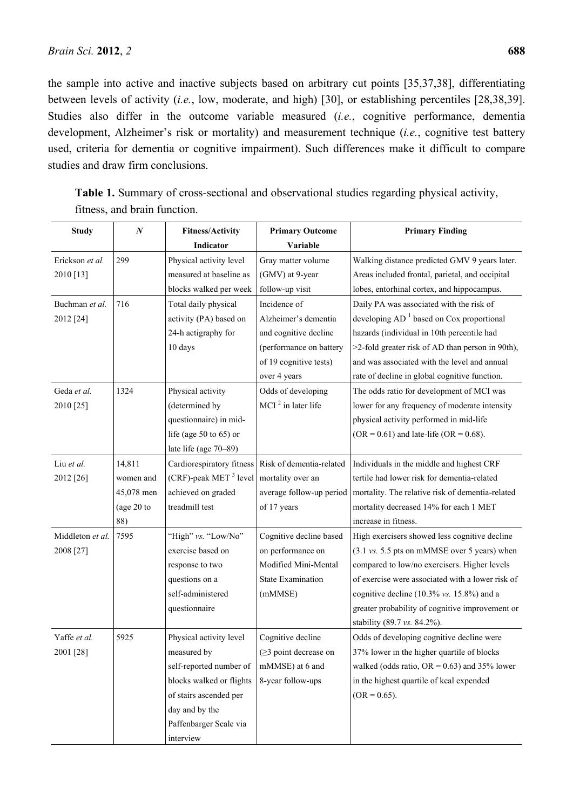the sample into active and inactive subjects based on arbitrary cut points [35,37,38], differentiating between levels of activity (*i.e.*, low, moderate, and high) [30], or establishing percentiles [28,38,39]. Studies also differ in the outcome variable measured (*i.e.*, cognitive performance, dementia development, Alzheimer's risk or mortality) and measurement technique (*i.e.*, cognitive test battery used, criteria for dementia or cognitive impairment). Such differences make it difficult to compare studies and draw firm conclusions.

| <b>Study</b>     | $\boldsymbol{N}$ | <b>Fitness/Activity</b>           | <b>Primary Outcome</b>     | <b>Primary Finding</b>                                                           |
|------------------|------------------|-----------------------------------|----------------------------|----------------------------------------------------------------------------------|
|                  |                  | Indicator                         | Variable                   |                                                                                  |
| Erickson et al.  | 299              | Physical activity level           | Gray matter volume         | Walking distance predicted GMV 9 years later.                                    |
| 2010 [13]        |                  | measured at baseline as           | (GMV) at 9-year            | Areas included frontal, parietal, and occipital                                  |
|                  |                  | blocks walked per week            | follow-up visit            | lobes, entorhinal cortex, and hippocampus.                                       |
| Buchman et al.   | 716              | Total daily physical              | Incidence of               | Daily PA was associated with the risk of                                         |
| 2012 [24]        |                  | activity (PA) based on            | Alzheimer's dementia       | developing $AD1$ based on Cox proportional                                       |
|                  |                  | 24-h actigraphy for               | and cognitive decline      | hazards (individual in 10th percentile had                                       |
|                  |                  | 10 days                           | (performance on battery    | >2-fold greater risk of AD than person in 90th),                                 |
|                  |                  |                                   | of 19 cognitive tests)     | and was associated with the level and annual                                     |
|                  |                  |                                   | over 4 years               | rate of decline in global cognitive function.                                    |
| Geda et al.      | 1324             | Physical activity                 | Odds of developing         | The odds ratio for development of MCI was                                        |
| 2010 [25]        |                  | (determined by                    | MCI $2$ in later life      | lower for any frequency of moderate intensity                                    |
|                  |                  | questionnaire) in mid-            |                            | physical activity performed in mid-life                                          |
|                  |                  | life (age $50$ to $65$ ) or       |                            | (OR = $0.61$ ) and late-life (OR = $0.68$ ).                                     |
|                  |                  | late life (age 70-89)             |                            |                                                                                  |
| Liu et al.       | 14,811           | Cardiorespiratory fitness         | Risk of dementia-related   | Individuals in the middle and highest CRF                                        |
| 2012 [26]        | women and        | (CRF)-peak MET <sup>3</sup> level | mortality over an          | tertile had lower risk for dementia-related                                      |
|                  | 45,078 men       | achieved on graded                | average follow-up period   | mortality. The relative risk of dementia-related                                 |
|                  | (age $20$ to     | treadmill test                    | of 17 years                | mortality decreased 14% for each 1 MET                                           |
|                  | 88)              |                                   |                            | increase in fitness.                                                             |
| Middleton et al. | 7595             | "High" vs. "Low/No"               | Cognitive decline based    | High exercisers showed less cognitive decline                                    |
| 2008 [27]        |                  | exercise based on                 | on performance on          | $(3.1 \text{ vs. } 5.5 \text{ pts on } m\text{MMSE over } 5 \text{ years})$ when |
|                  |                  | response to two                   | Modified Mini-Mental       | compared to low/no exercisers. Higher levels                                     |
|                  |                  | questions on a                    | <b>State Examination</b>   | of exercise were associated with a lower risk of                                 |
|                  |                  | self-administered                 | (mMMSE)                    | cognitive decline $(10.3\% \text{ vs. } 15.8\%)$ and a                           |
|                  |                  | questionnaire                     |                            | greater probability of cognitive improvement or                                  |
|                  |                  |                                   |                            | stability (89.7 vs. 84.2%).                                                      |
| Yaffe et al.     | 5925             | Physical activity level           | Cognitive decline          | Odds of developing cognitive decline were                                        |
| 2001 [28]        |                  | measured by                       | $(\geq)$ point decrease on | 37% lower in the higher quartile of blocks                                       |
|                  |                  | self-reported number of           | mMMSE) at 6 and            | walked (odds ratio, $OR = 0.63$ ) and 35% lower                                  |
|                  |                  | blocks walked or flights          | 8-year follow-ups          | in the highest quartile of kcal expended                                         |
|                  |                  | of stairs ascended per            |                            | $(OR = 0.65)$ .                                                                  |
|                  |                  | day and by the                    |                            |                                                                                  |
|                  |                  | Paffenbarger Scale via            |                            |                                                                                  |
|                  |                  | interview                         |                            |                                                                                  |

**Table 1.** Summary of cross-sectional and observational studies regarding physical activity, fitness, and brain function.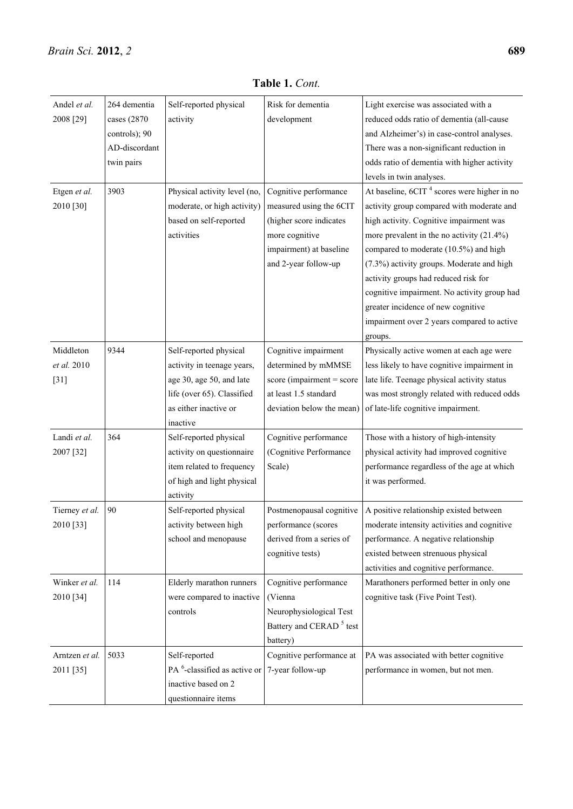| Andel et al.<br>2008 [29]          | 264 dementia<br>cases (2870)<br>controls); 90<br>AD-discordant<br>twin pairs | Self-reported physical<br>activity                                                                                                                  | Risk for dementia<br>development                                                                                                                 | Light exercise was associated with a<br>reduced odds ratio of dementia (all-cause<br>and Alzheimer's) in case-control analyses.<br>There was a non-significant reduction in<br>odds ratio of dementia with higher activity<br>levels in twin analyses.                                                                                                                                                                                                                      |
|------------------------------------|------------------------------------------------------------------------------|-----------------------------------------------------------------------------------------------------------------------------------------------------|--------------------------------------------------------------------------------------------------------------------------------------------------|-----------------------------------------------------------------------------------------------------------------------------------------------------------------------------------------------------------------------------------------------------------------------------------------------------------------------------------------------------------------------------------------------------------------------------------------------------------------------------|
| Etgen et al.<br>2010 [30]          | 3903                                                                         | Physical activity level (no,<br>moderate, or high activity)<br>based on self-reported<br>activities                                                 | Cognitive performance<br>measured using the 6CIT<br>(higher score indicates<br>more cognitive<br>impairment) at baseline<br>and 2-year follow-up | At baseline, 6CIT <sup>4</sup> scores were higher in no<br>activity group compared with moderate and<br>high activity. Cognitive impairment was<br>more prevalent in the no activity $(21.4\%)$<br>compared to moderate (10.5%) and high<br>(7.3%) activity groups. Moderate and high<br>activity groups had reduced risk for<br>cognitive impairment. No activity group had<br>greater incidence of new cognitive<br>impairment over 2 years compared to active<br>groups. |
| Middleton<br>et al. 2010<br>$[31]$ | 9344                                                                         | Self-reported physical<br>activity in teenage years,<br>age 30, age 50, and late<br>life (over 65). Classified<br>as either inactive or<br>inactive | Cognitive impairment<br>determined by mMMSE<br>$score$ (impairment = score<br>at least 1.5 standard<br>deviation below the mean)                 | Physically active women at each age were<br>less likely to have cognitive impairment in<br>late life. Teenage physical activity status<br>was most strongly related with reduced odds<br>of late-life cognitive impairment.                                                                                                                                                                                                                                                 |
| Landi et al.<br>2007 [32]          | 364                                                                          | Self-reported physical<br>activity on questionnaire<br>item related to frequency<br>of high and light physical<br>activity                          | Cognitive performance<br>(Cognitive Performance<br>Scale)                                                                                        | Those with a history of high-intensity<br>physical activity had improved cognitive<br>performance regardless of the age at which<br>it was performed.                                                                                                                                                                                                                                                                                                                       |
| Tierney et al.<br>2010 [33]        | 90                                                                           | Self-reported physical<br>activity between high<br>school and menopause                                                                             | Postmenopausal cognitive<br>performance (scores<br>derived from a series of<br>cognitive tests)                                                  | A positive relationship existed between<br>moderate intensity activities and cognitive<br>performance. A negative relationship<br>existed between strenuous physical<br>activities and cognitive performance.                                                                                                                                                                                                                                                               |
| Winker et al.<br>2010 [34]         | 114                                                                          | Elderly marathon runners<br>were compared to inactive<br>controls                                                                                   | Cognitive performance<br>(Vienna<br>Neurophysiological Test<br>Battery and CERAD <sup>5</sup> test<br>battery)                                   | Marathoners performed better in only one<br>cognitive task (Five Point Test).                                                                                                                                                                                                                                                                                                                                                                                               |
| Arntzen et al.<br>2011 [35]        | 5033                                                                         | Self-reported<br>PA $6$ -classified as active or<br>inactive based on 2<br>questionnaire items                                                      | Cognitive performance at<br>7-year follow-up                                                                                                     | PA was associated with better cognitive<br>performance in women, but not men.                                                                                                                                                                                                                                                                                                                                                                                               |

**Table 1.** *Cont.*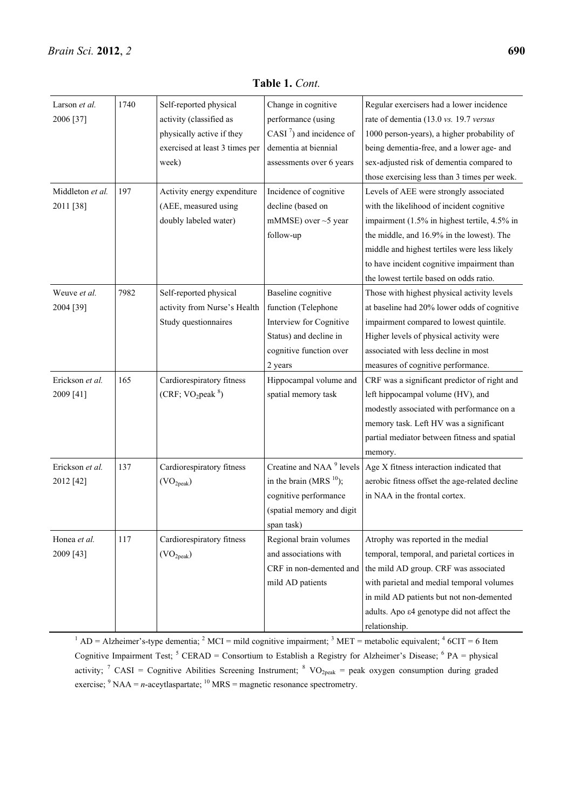| Larson et al.    | 1740 | Self-reported physical         | Change in cognitive                  | Regular exercisers had a lower incidence                |
|------------------|------|--------------------------------|--------------------------------------|---------------------------------------------------------|
| 2006 [37]        |      | activity (classified as        | performance (using                   | rate of dementia (13.0 vs. 19.7 versus                  |
|                  |      | physically active if they      | CASI $^7$ ) and incidence of         | 1000 person-years), a higher probability of             |
|                  |      | exercised at least 3 times per | dementia at biennial                 | being dementia-free, and a lower age- and               |
|                  |      | week)                          | assessments over 6 years             | sex-adjusted risk of dementia compared to               |
|                  |      |                                |                                      | those exercising less than 3 times per week.            |
| Middleton et al. | 197  | Activity energy expenditure    | Incidence of cognitive               | Levels of AEE were strongly associated                  |
| 2011 [38]        |      | (AEE, measured using           | decline (based on                    | with the likelihood of incident cognitive               |
|                  |      | doubly labeled water)          | mMMSE) over $\sim$ 5 year            | impairment (1.5% in highest tertile, 4.5% in            |
|                  |      |                                | follow-up                            | the middle, and 16.9% in the lowest). The               |
|                  |      |                                |                                      | middle and highest tertiles were less likely            |
|                  |      |                                |                                      | to have incident cognitive impairment than              |
|                  |      |                                |                                      | the lowest tertile based on odds ratio.                 |
| Weuve et al.     | 7982 | Self-reported physical         | Baseline cognitive                   | Those with highest physical activity levels             |
| 2004 [39]        |      | activity from Nurse's Health   | function (Telephone                  | at baseline had 20% lower odds of cognitive             |
|                  |      | Study questionnaires           | Interview for Cognitive              | impairment compared to lowest quintile.                 |
|                  |      |                                | Status) and decline in               | Higher levels of physical activity were                 |
|                  |      |                                | cognitive function over              | associated with less decline in most                    |
|                  |      |                                | 2 years                              | measures of cognitive performance.                      |
| Erickson et al.  | 165  | Cardiorespiratory fitness      | Hippocampal volume and               | CRF was a significant predictor of right and            |
| 2009 [41]        |      | (CRF; $VO_2$ peak $8)$         | spatial memory task                  | left hippocampal volume (HV), and                       |
|                  |      |                                |                                      | modestly associated with performance on a               |
|                  |      |                                |                                      | memory task. Left HV was a significant                  |
|                  |      |                                |                                      | partial mediator between fitness and spatial            |
|                  |      |                                |                                      | memory.                                                 |
| Erickson et al.  | 137  | Cardiorespiratory fitness      | Creatine and NAA <sup>9</sup> levels | Age X fitness interaction indicated that                |
| 2012 [42]        |      | (VO <sub>2peak</sub> )         | in the brain (MRS $^{10}$ );         | aerobic fitness offset the age-related decline          |
|                  |      |                                | cognitive performance                | in NAA in the frontal cortex.                           |
|                  |      |                                | (spatial memory and digit            |                                                         |
|                  |      |                                | span task)                           |                                                         |
| Honea et al.     | 117  | Cardiorespiratory fitness      | Regional brain volumes               | Atrophy was reported in the medial                      |
| 2009 [43]        |      | (VO <sub>2peak</sub> )         | and associations with                | temporal, temporal, and parietal cortices in            |
|                  |      |                                | CRF in non-demented and              | the mild AD group. CRF was associated                   |
|                  |      |                                | mild AD patients                     | with parietal and medial temporal volumes               |
|                  |      |                                |                                      | in mild AD patients but not non-demented                |
|                  |      |                                |                                      | adults. Apo $\varepsilon$ 4 genotype did not affect the |
|                  |      |                                |                                      | relationship.                                           |

**Table 1.** *Cont.*

 $1 \text{ AD} = \text{Alzheimer's-type}$  dementia;  $2 \text{ MCI} = \text{mild cognitive impairment}$ ;  $3 \text{ MET} = \text{metabolic equivalent}$ ;  $4 \text{ GCIT} = 6 \text{ Item}$ Cognitive Impairment Test;  ${}^{5}$  CERAD = Consortium to Establish a Registry for Alzheimer's Disease;  ${}^{6}$  PA = physical activity; <sup>7</sup> CASI = Cognitive Abilities Screening Instrument; <sup>8</sup> VO<sub>2peak</sub> = peak oxygen consumption during graded exercise;  $9 \text{ NAA} = n\text{-acceptlaspartate}$ ;  $10 \text{ MRS} = \text{magnetic resonance spectrometry}$ .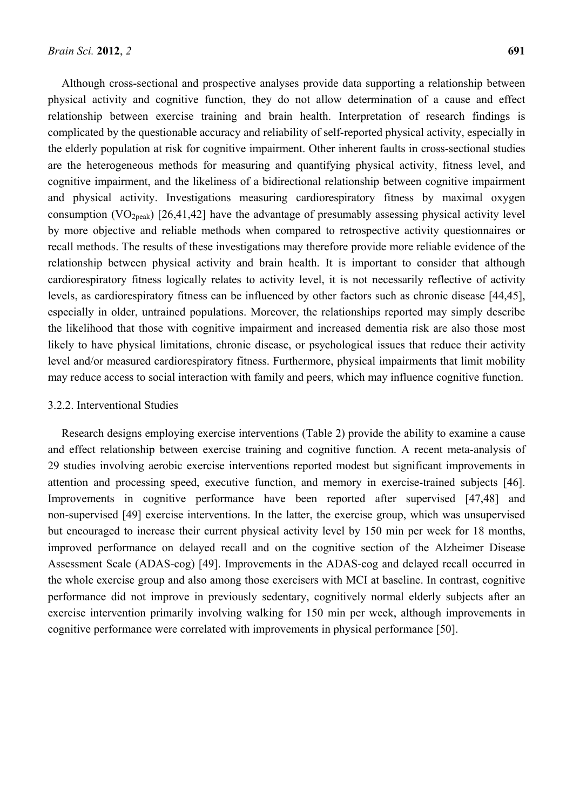Although cross-sectional and prospective analyses provide data supporting a relationship between physical activity and cognitive function, they do not allow determination of a cause and effect relationship between exercise training and brain health. Interpretation of research findings is complicated by the questionable accuracy and reliability of self-reported physical activity, especially in the elderly population at risk for cognitive impairment. Other inherent faults in cross-sectional studies are the heterogeneous methods for measuring and quantifying physical activity, fitness level, and cognitive impairment, and the likeliness of a bidirectional relationship between cognitive impairment and physical activity. Investigations measuring cardiorespiratory fitness by maximal oxygen consumption (VO<sub>2peak</sub>) [26,41,42] have the advantage of presumably assessing physical activity level by more objective and reliable methods when compared to retrospective activity questionnaires or recall methods. The results of these investigations may therefore provide more reliable evidence of the relationship between physical activity and brain health. It is important to consider that although cardiorespiratory fitness logically relates to activity level, it is not necessarily reflective of activity levels, as cardiorespiratory fitness can be influenced by other factors such as chronic disease [44,45], especially in older, untrained populations. Moreover, the relationships reported may simply describe the likelihood that those with cognitive impairment and increased dementia risk are also those most likely to have physical limitations, chronic disease, or psychological issues that reduce their activity level and/or measured cardiorespiratory fitness. Furthermore, physical impairments that limit mobility may reduce access to social interaction with family and peers, which may influence cognitive function.

## 3.2.2. Interventional Studies

Research designs employing exercise interventions (Table 2) provide the ability to examine a cause and effect relationship between exercise training and cognitive function. A recent meta-analysis of 29 studies involving aerobic exercise interventions reported modest but significant improvements in attention and processing speed, executive function, and memory in exercise-trained subjects [46]. Improvements in cognitive performance have been reported after supervised [47,48] and non-supervised [49] exercise interventions. In the latter, the exercise group, which was unsupervised but encouraged to increase their current physical activity level by 150 min per week for 18 months, improved performance on delayed recall and on the cognitive section of the Alzheimer Disease Assessment Scale (ADAS-cog) [49]. Improvements in the ADAS-cog and delayed recall occurred in the whole exercise group and also among those exercisers with MCI at baseline. In contrast, cognitive performance did not improve in previously sedentary, cognitively normal elderly subjects after an exercise intervention primarily involving walking for 150 min per week, although improvements in cognitive performance were correlated with improvements in physical performance [50].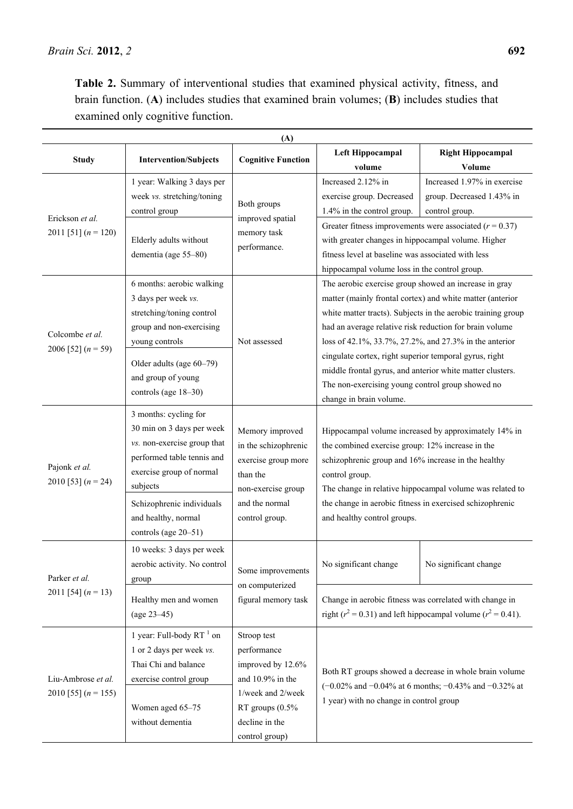| (A)                                         |                                                                                                                                                                                                                                     |                                                                                                                                                 |                                                                                                                                                                                                                                                                                                                                                       |                                                                                                                                         |
|---------------------------------------------|-------------------------------------------------------------------------------------------------------------------------------------------------------------------------------------------------------------------------------------|-------------------------------------------------------------------------------------------------------------------------------------------------|-------------------------------------------------------------------------------------------------------------------------------------------------------------------------------------------------------------------------------------------------------------------------------------------------------------------------------------------------------|-----------------------------------------------------------------------------------------------------------------------------------------|
| <b>Study</b>                                | <b>Intervention/Subjects</b>                                                                                                                                                                                                        | <b>Cognitive Function</b>                                                                                                                       | Left Hippocampal<br>volume                                                                                                                                                                                                                                                                                                                            | <b>Right Hippocampal</b><br>Volume                                                                                                      |
| Erickson et al.<br>2011 [51] $(n = 120)$    | 1 year: Walking 3 days per<br>week vs. stretching/toning<br>control group<br>Elderly adults without<br>dementia (age 55-80)                                                                                                         | Both groups<br>improved spatial<br>memory task<br>performance.                                                                                  | Increased 2.12% in<br>exercise group. Decreased<br>1.4% in the control group.<br>with greater changes in hippocampal volume. Higher<br>fitness level at baseline was associated with less<br>hippocampal volume loss in the control group.                                                                                                            | Increased 1.97% in exercise<br>group. Decreased 1.43% in<br>control group.<br>Greater fitness improvements were associated $(r = 0.37)$ |
| Colcombe et al.<br>2006 [52] $(n = 59)$     | 6 months: aerobic walking<br>3 days per week vs.<br>stretching/toning control<br>group and non-exercising<br>young controls<br>Older adults (age 60-79)<br>and group of young<br>controls (age 18-30)                               | Not assessed                                                                                                                                    | The aerobic exercise group showed an increase in gray<br>had an average relative risk reduction for brain volume<br>loss of 42.1%, 33.7%, 27.2%, and 27.3% in the anterior<br>cingulate cortex, right superior temporal gyrus, right<br>middle frontal gyrus, and anterior white matter clusters.<br>The non-exercising young control group showed no | matter (mainly frontal cortex) and white matter (anterior<br>white matter tracts). Subjects in the aerobic training group               |
| Pajonk et al.<br>2010 [53] $(n = 24)$       | 3 months: cycling for<br>30 min on 3 days per week<br>vs. non-exercise group that<br>performed table tennis and<br>exercise group of normal<br>subjects<br>Schizophrenic individuals<br>and healthy, normal<br>controls (age 20–51) | Memory improved<br>in the schizophrenic<br>exercise group more<br>than the<br>non-exercise group<br>and the normal<br>control group.            | change in brain volume.<br>the combined exercise group: 12% increase in the<br>schizophrenic group and 16% increase in the healthy<br>control group.<br>the change in aerobic fitness in exercised schizophrenic<br>and healthy control groups.                                                                                                       | Hippocampal volume increased by approximately 14% in<br>The change in relative hippocampal volume was related to                        |
| Parker et al.<br>2011 [54] $(n = 13)$       | 10 weeks: 3 days per week<br>aerobic activity. No control<br>group<br>Healthy men and women                                                                                                                                         | Some improvements<br>on computerized<br>figural memory task                                                                                     | No significant change                                                                                                                                                                                                                                                                                                                                 | No significant change<br>Change in aerobic fitness was correlated with change in                                                        |
| Liu-Ambrose et al.<br>2010 [55] $(n = 155)$ | $(age 23-45)$<br>1 year: Full-body $RT^{-1}$ on<br>1 or 2 days per week vs.<br>Thai Chi and balance<br>exercise control group<br>Women aged 65-75<br>without dementia                                                               | Stroop test<br>performance<br>improved by 12.6%<br>and 10.9% in the<br>1/week and 2/week<br>RT groups (0.5%<br>decline in the<br>control group) | right ( $r^2$ = 0.31) and left hippocampal volume ( $r^2$ = 0.41).<br>Both RT groups showed a decrease in whole brain volume<br>(-0.02% and -0.04% at 6 months; -0.43% and -0.32% at<br>1 year) with no change in control group                                                                                                                       |                                                                                                                                         |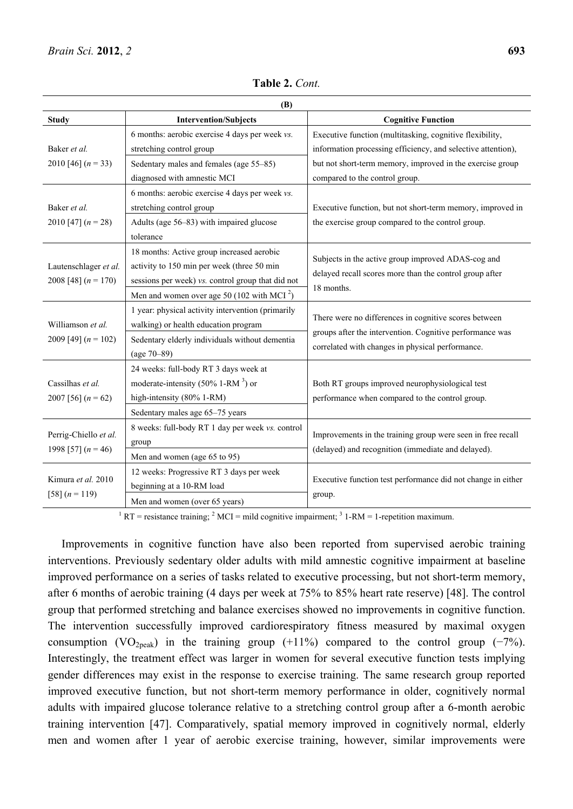| (B)                                      |                                                        |                                                                                                                   |  |
|------------------------------------------|--------------------------------------------------------|-------------------------------------------------------------------------------------------------------------------|--|
| <b>Study</b>                             | <b>Intervention/Subjects</b>                           | <b>Cognitive Function</b>                                                                                         |  |
|                                          | 6 months: aerobic exercise 4 days per week vs.         | Executive function (multitasking, cognitive flexibility,                                                          |  |
| Baker et al.                             | stretching control group                               | information processing efficiency, and selective attention),                                                      |  |
| 2010 [46] $(n = 33)$                     | Sedentary males and females (age 55–85)                | but not short-term memory, improved in the exercise group                                                         |  |
|                                          | diagnosed with amnestic MCI                            | compared to the control group.                                                                                    |  |
|                                          | 6 months: aerobic exercise 4 days per week vs.         |                                                                                                                   |  |
| Baker et al.                             | stretching control group                               | Executive function, but not short-term memory, improved in<br>the exercise group compared to the control group.   |  |
| 2010 [47] $(n = 28)$                     | Adults (age 56–83) with impaired glucose               |                                                                                                                   |  |
|                                          | tolerance                                              |                                                                                                                   |  |
|                                          | 18 months: Active group increased aerobic              |                                                                                                                   |  |
| Lautenschlager et al.                    | activity to 150 min per week (three 50 min             | Subjects in the active group improved ADAS-cog and                                                                |  |
| 2008 [48] $(n = 170)$                    | sessions per week) vs. control group that did not      | delayed recall scores more than the control group after                                                           |  |
|                                          | Men and women over age 50 (102 with MCI <sup>2</sup> ) | 18 months.                                                                                                        |  |
|                                          | 1 year: physical activity intervention (primarily      | There were no differences in cognitive scores between                                                             |  |
| Williamson et al.                        | walking) or health education program                   |                                                                                                                   |  |
| 2009 [49] $(n = 102)$                    | Sedentary elderly individuals without dementia         | groups after the intervention. Cognitive performance was                                                          |  |
|                                          | $(age 70-89)$                                          | correlated with changes in physical performance.                                                                  |  |
|                                          | 24 weeks: full-body RT 3 days week at                  |                                                                                                                   |  |
| Cassilhas et al.<br>2007 [56] $(n = 62)$ | moderate-intensity (50% 1-RM $^3$ ) or                 | Both RT groups improved neurophysiological test<br>performance when compared to the control group.                |  |
|                                          | high-intensity (80% 1-RM)                              |                                                                                                                   |  |
|                                          | Sedentary males age 65-75 years                        |                                                                                                                   |  |
|                                          | 8 weeks: full-body RT 1 day per week vs. control       |                                                                                                                   |  |
| Perrig-Chiello et al.                    | group                                                  | Improvements in the training group were seen in free recall<br>(delayed) and recognition (immediate and delayed). |  |
| 1998 [57] $(n = 46)$                     | Men and women (age 65 to 95)                           |                                                                                                                   |  |
| Kimura et al. 2010<br>[58] $(n = 119)$   | 12 weeks: Progressive RT 3 days per week               |                                                                                                                   |  |
|                                          | beginning at a 10-RM load                              | Executive function test performance did not change in either<br>group.                                            |  |
|                                          | Men and women (over 65 years)                          |                                                                                                                   |  |

**Table 2.** *Cont.*

<sup>1</sup> RT = resistance training; <sup>2</sup> MCI = mild cognitive impairment; <sup>3</sup> 1-RM = 1-repetition maximum.

Improvements in cognitive function have also been reported from supervised aerobic training interventions. Previously sedentary older adults with mild amnestic cognitive impairment at baseline improved performance on a series of tasks related to executive processing, but not short-term memory, after 6 months of aerobic training (4 days per week at 75% to 85% heart rate reserve) [48]. The control group that performed stretching and balance exercises showed no improvements in cognitive function. The intervention successfully improved cardiorespiratory fitness measured by maximal oxygen consumption (VO<sub>2peak</sub>) in the training group (+11%) compared to the control group (−7%). Interestingly, the treatment effect was larger in women for several executive function tests implying gender differences may exist in the response to exercise training. The same research group reported improved executive function, but not short-term memory performance in older, cognitively normal adults with impaired glucose tolerance relative to a stretching control group after a 6-month aerobic training intervention [47]. Comparatively, spatial memory improved in cognitively normal, elderly men and women after 1 year of aerobic exercise training, however, similar improvements were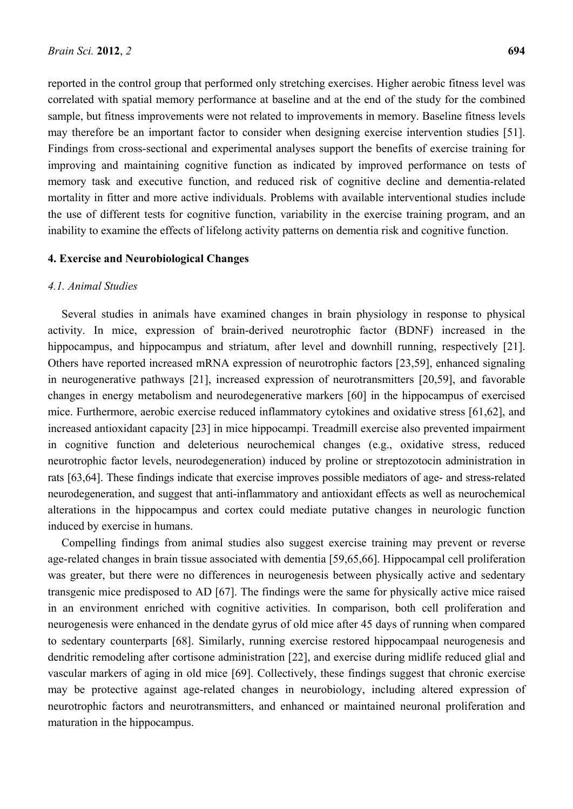reported in the control group that performed only stretching exercises. Higher aerobic fitness level was correlated with spatial memory performance at baseline and at the end of the study for the combined sample, but fitness improvements were not related to improvements in memory. Baseline fitness levels may therefore be an important factor to consider when designing exercise intervention studies [51]. Findings from cross-sectional and experimental analyses support the benefits of exercise training for improving and maintaining cognitive function as indicated by improved performance on tests of memory task and executive function, and reduced risk of cognitive decline and dementia-related mortality in fitter and more active individuals. Problems with available interventional studies include the use of different tests for cognitive function, variability in the exercise training program, and an inability to examine the effects of lifelong activity patterns on dementia risk and cognitive function.

#### **4. Exercise and Neurobiological Changes**

#### *4.1. Animal Studies*

Several studies in animals have examined changes in brain physiology in response to physical activity. In mice, expression of brain-derived neurotrophic factor (BDNF) increased in the hippocampus, and hippocampus and striatum, after level and downhill running, respectively [21]. Others have reported increased mRNA expression of neurotrophic factors [23,59], enhanced signaling in neurogenerative pathways [21], increased expression of neurotransmitters [20,59], and favorable changes in energy metabolism and neurodegenerative markers [60] in the hippocampus of exercised mice. Furthermore, aerobic exercise reduced inflammatory cytokines and oxidative stress [61,62], and increased antioxidant capacity [23] in mice hippocampi. Treadmill exercise also prevented impairment in cognitive function and deleterious neurochemical changes (e.g., oxidative stress, reduced neurotrophic factor levels, neurodegeneration) induced by proline or streptozotocin administration in rats [63,64]. These findings indicate that exercise improves possible mediators of age- and stress-related neurodegeneration, and suggest that anti-inflammatory and antioxidant effects as well as neurochemical alterations in the hippocampus and cortex could mediate putative changes in neurologic function induced by exercise in humans.

Compelling findings from animal studies also suggest exercise training may prevent or reverse age-related changes in brain tissue associated with dementia [59,65,66]. Hippocampal cell proliferation was greater, but there were no differences in neurogenesis between physically active and sedentary transgenic mice predisposed to AD [67]. The findings were the same for physically active mice raised in an environment enriched with cognitive activities. In comparison, both cell proliferation and neurogenesis were enhanced in the dendate gyrus of old mice after 45 days of running when compared to sedentary counterparts [68]. Similarly, running exercise restored hippocampaal neurogenesis and dendritic remodeling after cortisone administration [22], and exercise during midlife reduced glial and vascular markers of aging in old mice [69]. Collectively, these findings suggest that chronic exercise may be protective against age-related changes in neurobiology, including altered expression of neurotrophic factors and neurotransmitters, and enhanced or maintained neuronal proliferation and maturation in the hippocampus.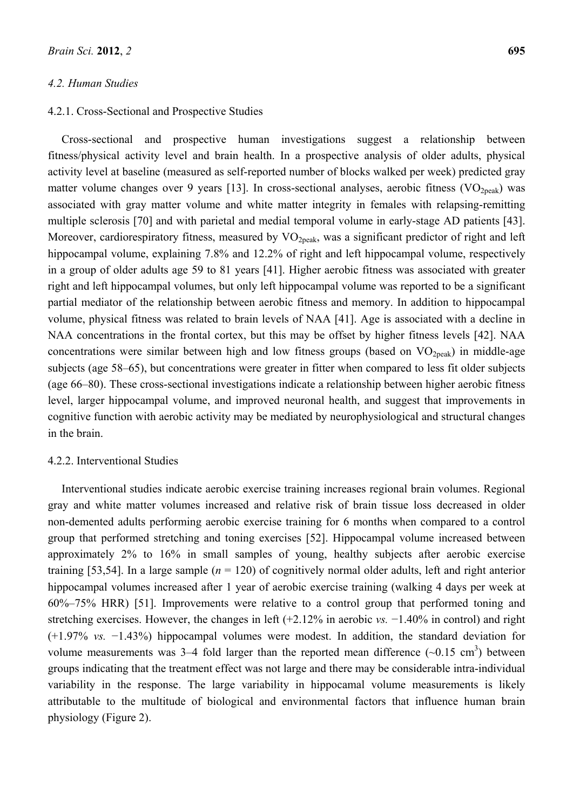## *4.2. Human Studies*

## 4.2.1. Cross-Sectional and Prospective Studies

Cross-sectional and prospective human investigations suggest a relationship between fitness/physical activity level and brain health. In a prospective analysis of older adults, physical activity level at baseline (measured as self-reported number of blocks walked per week) predicted gray matter volume changes over 9 years [13]. In cross-sectional analyses, aerobic fitness  $(VO<sub>2peak</sub>)$  was associated with gray matter volume and white matter integrity in females with relapsing-remitting multiple sclerosis [70] and with parietal and medial temporal volume in early-stage AD patients [43]. Moreover, cardiorespiratory fitness, measured by VO<sub>2peak</sub>, was a significant predictor of right and left hippocampal volume, explaining 7.8% and 12.2% of right and left hippocampal volume, respectively in a group of older adults age 59 to 81 years [41]. Higher aerobic fitness was associated with greater right and left hippocampal volumes, but only left hippocampal volume was reported to be a significant partial mediator of the relationship between aerobic fitness and memory. In addition to hippocampal volume, physical fitness was related to brain levels of NAA [41]. Age is associated with a decline in NAA concentrations in the frontal cortex, but this may be offset by higher fitness levels [42]. NAA concentrations were similar between high and low fitness groups (based on  $VO_{2neak}$ ) in middle-age subjects (age 58–65), but concentrations were greater in fitter when compared to less fit older subjects (age 66–80). These cross-sectional investigations indicate a relationship between higher aerobic fitness level, larger hippocampal volume, and improved neuronal health, and suggest that improvements in cognitive function with aerobic activity may be mediated by neurophysiological and structural changes in the brain.

#### 4.2.2. Interventional Studies

Interventional studies indicate aerobic exercise training increases regional brain volumes. Regional gray and white matter volumes increased and relative risk of brain tissue loss decreased in older non-demented adults performing aerobic exercise training for 6 months when compared to a control group that performed stretching and toning exercises [52]. Hippocampal volume increased between approximately 2% to 16% in small samples of young, healthy subjects after aerobic exercise training [53,54]. In a large sample  $(n = 120)$  of cognitively normal older adults, left and right anterior hippocampal volumes increased after 1 year of aerobic exercise training (walking 4 days per week at 60%–75% HRR) [51]. Improvements were relative to a control group that performed toning and stretching exercises. However, the changes in left (+2.12% in aerobic *vs.* −1.40% in control) and right (+1.97% *vs.* −1.43%) hippocampal volumes were modest. In addition, the standard deviation for volume measurements was  $3-4$  fold larger than the reported mean difference  $(\sim 0.15 \text{ cm}^3)$  between groups indicating that the treatment effect was not large and there may be considerable intra-individual variability in the response. The large variability in hippocamal volume measurements is likely attributable to the multitude of biological and environmental factors that influence human brain physiology (Figure 2).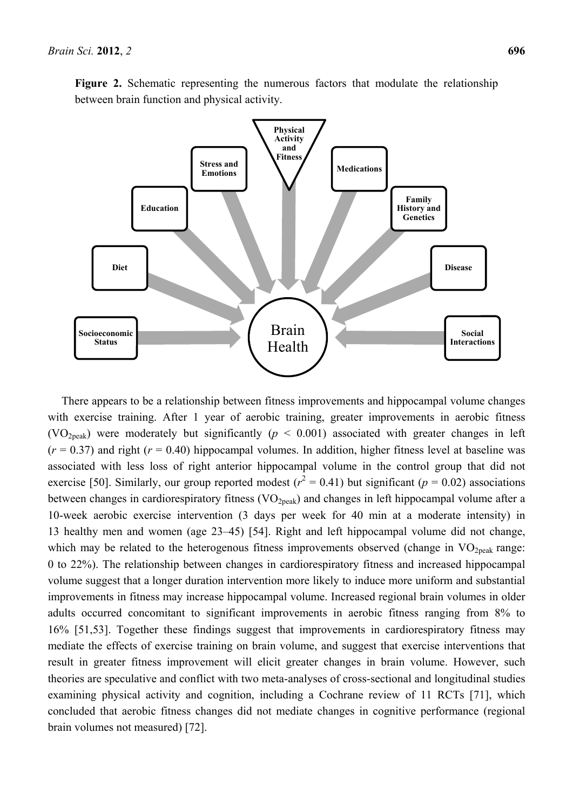

Figure 2. Schematic representing the numerous factors that modulate the relationship between brain function and physical activity.

There appears to be a relationship between fitness improvements and hippocampal volume changes with exercise training. After 1 year of aerobic training, greater improvements in aerobic fitness (VO<sub>2peak</sub>) were moderately but significantly ( $p < 0.001$ ) associated with greater changes in left  $(r = 0.37)$  and right  $(r = 0.40)$  hippocampal volumes. In addition, higher fitness level at baseline was associated with less loss of right anterior hippocampal volume in the control group that did not exercise [50]. Similarly, our group reported modest ( $r^2 = 0.41$ ) but significant ( $p = 0.02$ ) associations between changes in cardiorespiratory fitness (VO<sub>2peak</sub>) and changes in left hippocampal volume after a 10-week aerobic exercise intervention (3 days per week for 40 min at a moderate intensity) in 13 healthy men and women (age 23–45) [54]. Right and left hippocampal volume did not change, which may be related to the heterogenous fitness improvements observed (change in  $VO<sub>2peak</sub>$  range: 0 to 22%). The relationship between changes in cardiorespiratory fitness and increased hippocampal volume suggest that a longer duration intervention more likely to induce more uniform and substantial improvements in fitness may increase hippocampal volume. Increased regional brain volumes in older adults occurred concomitant to significant improvements in aerobic fitness ranging from 8% to 16% [51,53]. Together these findings suggest that improvements in cardiorespiratory fitness may mediate the effects of exercise training on brain volume, and suggest that exercise interventions that result in greater fitness improvement will elicit greater changes in brain volume. However, such theories are speculative and conflict with two meta-analyses of cross-sectional and longitudinal studies examining physical activity and cognition, including a Cochrane review of 11 RCTs [71], which concluded that aerobic fitness changes did not mediate changes in cognitive performance (regional brain volumes not measured) [72].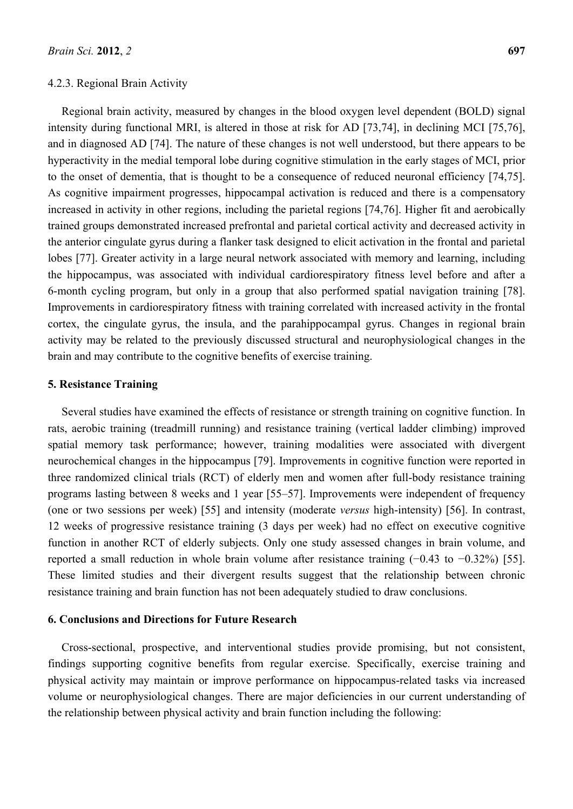#### 4.2.3. Regional Brain Activity

Regional brain activity, measured by changes in the blood oxygen level dependent (BOLD) signal intensity during functional MRI, is altered in those at risk for AD [73,74], in declining MCI [75,76], and in diagnosed AD [74]. The nature of these changes is not well understood, but there appears to be hyperactivity in the medial temporal lobe during cognitive stimulation in the early stages of MCI, prior to the onset of dementia, that is thought to be a consequence of reduced neuronal efficiency [74,75]. As cognitive impairment progresses, hippocampal activation is reduced and there is a compensatory increased in activity in other regions, including the parietal regions [74,76]. Higher fit and aerobically trained groups demonstrated increased prefrontal and parietal cortical activity and decreased activity in the anterior cingulate gyrus during a flanker task designed to elicit activation in the frontal and parietal lobes [77]. Greater activity in a large neural network associated with memory and learning, including the hippocampus, was associated with individual cardiorespiratory fitness level before and after a 6-month cycling program, but only in a group that also performed spatial navigation training [78]. Improvements in cardiorespiratory fitness with training correlated with increased activity in the frontal cortex, the cingulate gyrus, the insula, and the parahippocampal gyrus. Changes in regional brain activity may be related to the previously discussed structural and neurophysiological changes in the brain and may contribute to the cognitive benefits of exercise training.

## **5. Resistance Training**

Several studies have examined the effects of resistance or strength training on cognitive function. In rats, aerobic training (treadmill running) and resistance training (vertical ladder climbing) improved spatial memory task performance; however, training modalities were associated with divergent neurochemical changes in the hippocampus [79]. Improvements in cognitive function were reported in three randomized clinical trials (RCT) of elderly men and women after full-body resistance training programs lasting between 8 weeks and 1 year [55–57]. Improvements were independent of frequency (one or two sessions per week) [55] and intensity (moderate *versus* high-intensity) [56]. In contrast, 12 weeks of progressive resistance training (3 days per week) had no effect on executive cognitive function in another RCT of elderly subjects. Only one study assessed changes in brain volume, and reported a small reduction in whole brain volume after resistance training (−0.43 to −0.32%) [55]. These limited studies and their divergent results suggest that the relationship between chronic resistance training and brain function has not been adequately studied to draw conclusions.

## **6. Conclusions and Directions for Future Research**

Cross-sectional, prospective, and interventional studies provide promising, but not consistent, findings supporting cognitive benefits from regular exercise. Specifically, exercise training and physical activity may maintain or improve performance on hippocampus-related tasks via increased volume or neurophysiological changes. There are major deficiencies in our current understanding of the relationship between physical activity and brain function including the following: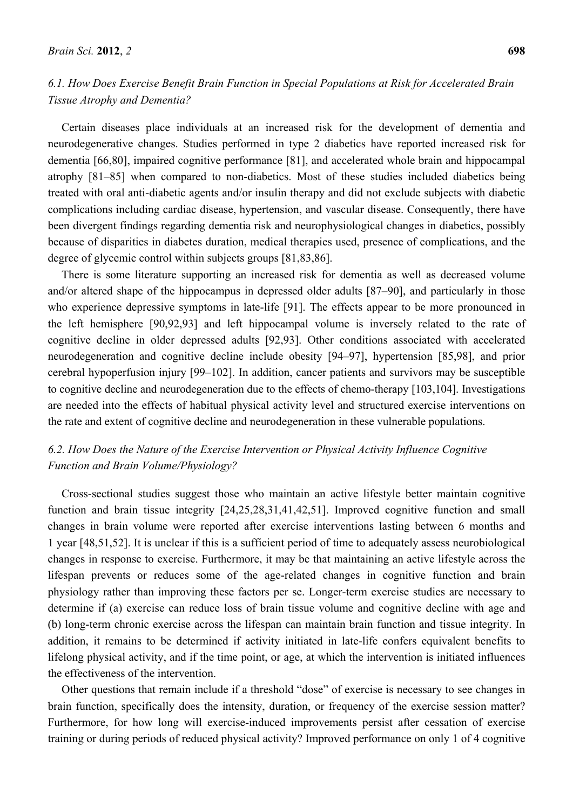# *6.1. How Does Exercise Benefit Brain Function in Special Populations at Risk for Accelerated Brain Tissue Atrophy and Dementia?*

Certain diseases place individuals at an increased risk for the development of dementia and neurodegenerative changes. Studies performed in type 2 diabetics have reported increased risk for dementia [66,80], impaired cognitive performance [81], and accelerated whole brain and hippocampal atrophy [81–85] when compared to non-diabetics. Most of these studies included diabetics being treated with oral anti-diabetic agents and/or insulin therapy and did not exclude subjects with diabetic complications including cardiac disease, hypertension, and vascular disease. Consequently, there have been divergent findings regarding dementia risk and neurophysiological changes in diabetics, possibly because of disparities in diabetes duration, medical therapies used, presence of complications, and the degree of glycemic control within subjects groups [81,83,86].

There is some literature supporting an increased risk for dementia as well as decreased volume and/or altered shape of the hippocampus in depressed older adults [87–90], and particularly in those who experience depressive symptoms in late-life [91]. The effects appear to be more pronounced in the left hemisphere [90,92,93] and left hippocampal volume is inversely related to the rate of cognitive decline in older depressed adults [92,93]. Other conditions associated with accelerated neurodegeneration and cognitive decline include obesity [94–97], hypertension [85,98], and prior cerebral hypoperfusion injury [99–102]. In addition, cancer patients and survivors may be susceptible to cognitive decline and neurodegeneration due to the effects of chemo-therapy [103,104]. Investigations are needed into the effects of habitual physical activity level and structured exercise interventions on the rate and extent of cognitive decline and neurodegeneration in these vulnerable populations.

# *6.2. How Does the Nature of the Exercise Intervention or Physical Activity Influence Cognitive Function and Brain Volume/Physiology?*

Cross-sectional studies suggest those who maintain an active lifestyle better maintain cognitive function and brain tissue integrity [24,25,28,31,41,42,51]. Improved cognitive function and small changes in brain volume were reported after exercise interventions lasting between 6 months and 1 year [48,51,52]. It is unclear if this is a sufficient period of time to adequately assess neurobiological changes in response to exercise. Furthermore, it may be that maintaining an active lifestyle across the lifespan prevents or reduces some of the age-related changes in cognitive function and brain physiology rather than improving these factors per se. Longer-term exercise studies are necessary to determine if (a) exercise can reduce loss of brain tissue volume and cognitive decline with age and (b) long-term chronic exercise across the lifespan can maintain brain function and tissue integrity. In addition, it remains to be determined if activity initiated in late-life confers equivalent benefits to lifelong physical activity, and if the time point, or age, at which the intervention is initiated influences the effectiveness of the intervention.

Other questions that remain include if a threshold "dose" of exercise is necessary to see changes in brain function, specifically does the intensity, duration, or frequency of the exercise session matter? Furthermore, for how long will exercise-induced improvements persist after cessation of exercise training or during periods of reduced physical activity? Improved performance on only 1 of 4 cognitive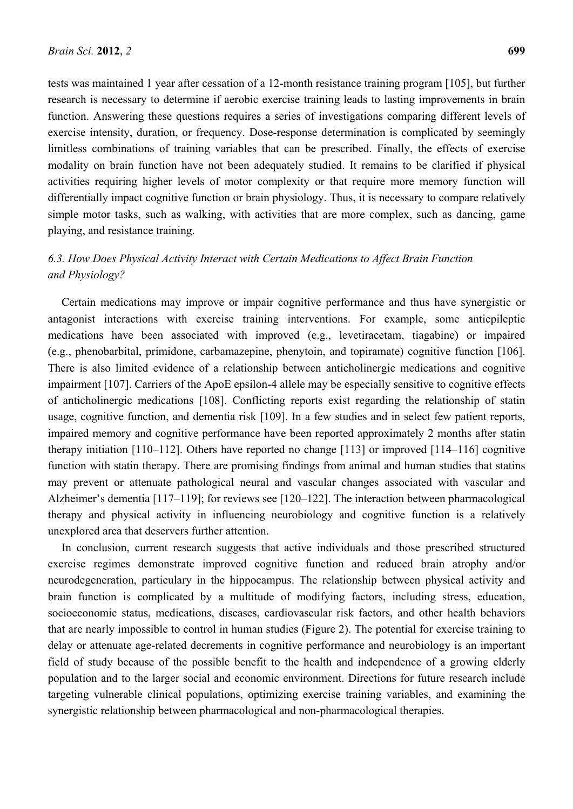tests was maintained 1 year after cessation of a 12-month resistance training program [105], but further research is necessary to determine if aerobic exercise training leads to lasting improvements in brain function. Answering these questions requires a series of investigations comparing different levels of exercise intensity, duration, or frequency. Dose-response determination is complicated by seemingly limitless combinations of training variables that can be prescribed. Finally, the effects of exercise modality on brain function have not been adequately studied. It remains to be clarified if physical activities requiring higher levels of motor complexity or that require more memory function will differentially impact cognitive function or brain physiology. Thus, it is necessary to compare relatively simple motor tasks, such as walking, with activities that are more complex, such as dancing, game playing, and resistance training.

# *6.3. How Does Physical Activity Interact with Certain Medications to Affect Brain Function and Physiology?*

Certain medications may improve or impair cognitive performance and thus have synergistic or antagonist interactions with exercise training interventions. For example, some antiepileptic medications have been associated with improved (e.g., levetiracetam, tiagabine) or impaired (e.g., phenobarbital, primidone, carbamazepine, phenytoin, and topiramate) cognitive function [106]. There is also limited evidence of a relationship between anticholinergic medications and cognitive impairment [107]. Carriers of the ApoE epsilon-4 allele may be especially sensitive to cognitive effects of anticholinergic medications [108]. Conflicting reports exist regarding the relationship of statin usage, cognitive function, and dementia risk [109]. In a few studies and in select few patient reports, impaired memory and cognitive performance have been reported approximately 2 months after statin therapy initiation [110–112]. Others have reported no change [113] or improved [114–116] cognitive function with statin therapy. There are promising findings from animal and human studies that statins may prevent or attenuate pathological neural and vascular changes associated with vascular and Alzheimer's dementia [117–119]; for reviews see [120–122]. The interaction between pharmacological therapy and physical activity in influencing neurobiology and cognitive function is a relatively unexplored area that deservers further attention.

In conclusion, current research suggests that active individuals and those prescribed structured exercise regimes demonstrate improved cognitive function and reduced brain atrophy and/or neurodegeneration, particulary in the hippocampus. The relationship between physical activity and brain function is complicated by a multitude of modifying factors, including stress, education, socioeconomic status, medications, diseases, cardiovascular risk factors, and other health behaviors that are nearly impossible to control in human studies (Figure 2). The potential for exercise training to delay or attenuate age-related decrements in cognitive performance and neurobiology is an important field of study because of the possible benefit to the health and independence of a growing elderly population and to the larger social and economic environment. Directions for future research include targeting vulnerable clinical populations, optimizing exercise training variables, and examining the synergistic relationship between pharmacological and non-pharmacological therapies.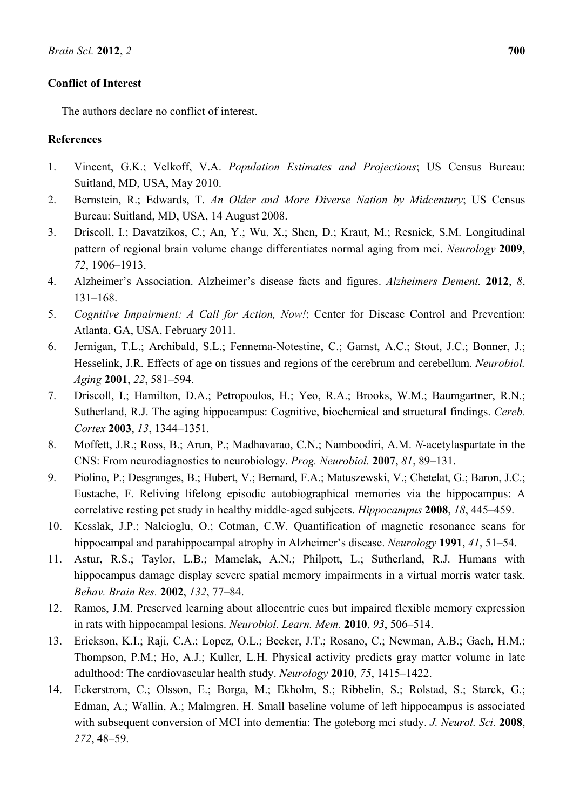# **Conflict of Interest**

The authors declare no conflict of interest.

# **References**

- 1. Vincent, G.K.; Velkoff, V.A. *Population Estimates and Projections*; US Census Bureau: Suitland, MD, USA, May 2010.
- 2. Bernstein, R.; Edwards, T. *An Older and More Diverse Nation by Midcentury*; US Census Bureau: Suitland, MD, USA, 14 August 2008.
- 3. Driscoll, I.; Davatzikos, C.; An, Y.; Wu, X.; Shen, D.; Kraut, M.; Resnick, S.M. Longitudinal pattern of regional brain volume change differentiates normal aging from mci. *Neurology* **2009**, *72*, 1906–1913.
- 4. Alzheimer's Association. Alzheimer's disease facts and figures. *Alzheimers Dement.* **2012**, *8*, 131–168.
- 5. *Cognitive Impairment: A Call for Action, Now!*; Center for Disease Control and Prevention: Atlanta, GA, USA, February 2011.
- 6. Jernigan, T.L.; Archibald, S.L.; Fennema-Notestine, C.; Gamst, A.C.; Stout, J.C.; Bonner, J.; Hesselink, J.R. Effects of age on tissues and regions of the cerebrum and cerebellum. *Neurobiol. Aging* **2001**, *22*, 581–594.
- 7. Driscoll, I.; Hamilton, D.A.; Petropoulos, H.; Yeo, R.A.; Brooks, W.M.; Baumgartner, R.N.; Sutherland, R.J. The aging hippocampus: Cognitive, biochemical and structural findings. *Cereb. Cortex* **2003**, *13*, 1344–1351.
- 8. Moffett, J.R.; Ross, B.; Arun, P.; Madhavarao, C.N.; Namboodiri, A.M. *N*-acetylaspartate in the CNS: From neurodiagnostics to neurobiology. *Prog. Neurobiol.* **2007**, *81*, 89–131.
- 9. Piolino, P.; Desgranges, B.; Hubert, V.; Bernard, F.A.; Matuszewski, V.; Chetelat, G.; Baron, J.C.; Eustache, F. Reliving lifelong episodic autobiographical memories via the hippocampus: A correlative resting pet study in healthy middle-aged subjects. *Hippocampus* **2008**, *18*, 445–459.
- 10. Kesslak, J.P.; Nalcioglu, O.; Cotman, C.W. Quantification of magnetic resonance scans for hippocampal and parahippocampal atrophy in Alzheimer's disease. *Neurology* **1991**, *41*, 51–54.
- 11. Astur, R.S.; Taylor, L.B.; Mamelak, A.N.; Philpott, L.; Sutherland, R.J. Humans with hippocampus damage display severe spatial memory impairments in a virtual morris water task. *Behav. Brain Res.* **2002**, *132*, 77–84.
- 12. Ramos, J.M. Preserved learning about allocentric cues but impaired flexible memory expression in rats with hippocampal lesions. *Neurobiol. Learn. Mem.* **2010**, *93*, 506–514.
- 13. Erickson, K.I.; Raji, C.A.; Lopez, O.L.; Becker, J.T.; Rosano, C.; Newman, A.B.; Gach, H.M.; Thompson, P.M.; Ho, A.J.; Kuller, L.H. Physical activity predicts gray matter volume in late adulthood: The cardiovascular health study. *Neurology* **2010**, *75*, 1415–1422.
- 14. Eckerstrom, C.; Olsson, E.; Borga, M.; Ekholm, S.; Ribbelin, S.; Rolstad, S.; Starck, G.; Edman, A.; Wallin, A.; Malmgren, H. Small baseline volume of left hippocampus is associated with subsequent conversion of MCI into dementia: The goteborg mci study. *J. Neurol. Sci.* **2008**, *272*, 48–59.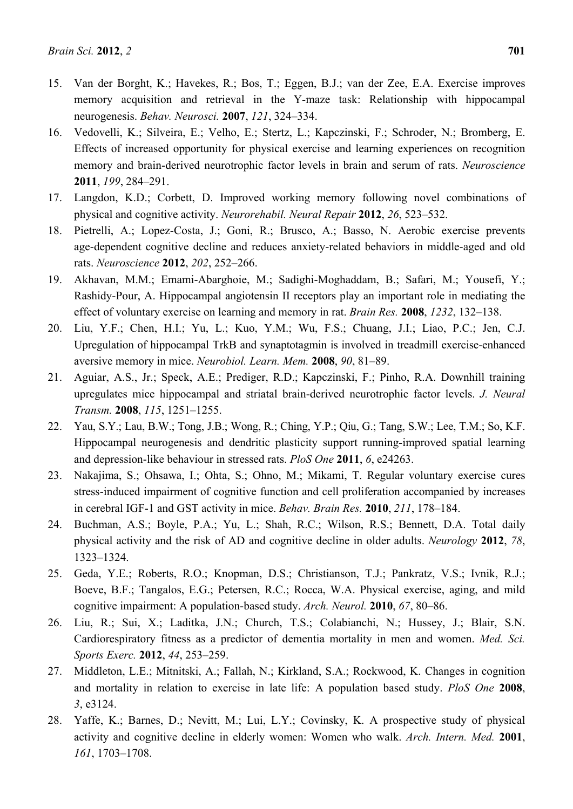- 15. Van der Borght, K.; Havekes, R.; Bos, T.; Eggen, B.J.; van der Zee, E.A. Exercise improves memory acquisition and retrieval in the Y-maze task: Relationship with hippocampal neurogenesis. *Behav. Neurosci.* **2007**, *121*, 324–334.
- 16. Vedovelli, K.; Silveira, E.; Velho, E.; Stertz, L.; Kapczinski, F.; Schroder, N.; Bromberg, E. Effects of increased opportunity for physical exercise and learning experiences on recognition memory and brain-derived neurotrophic factor levels in brain and serum of rats. *Neuroscience*  **2011**, *199*, 284–291.
- 17. Langdon, K.D.; Corbett, D. Improved working memory following novel combinations of physical and cognitive activity. *Neurorehabil. Neural Repair* **2012**, *26*, 523–532.
- 18. Pietrelli, A.; Lopez-Costa, J.; Goni, R.; Brusco, A.; Basso, N. Aerobic exercise prevents age-dependent cognitive decline and reduces anxiety-related behaviors in middle-aged and old rats. *Neuroscience* **2012**, *202*, 252–266.
- 19. Akhavan, M.M.; Emami-Abarghoie, M.; Sadighi-Moghaddam, B.; Safari, M.; Yousefi, Y.; Rashidy-Pour, A. Hippocampal angiotensin II receptors play an important role in mediating the effect of voluntary exercise on learning and memory in rat. *Brain Res.* **2008**, *1232*, 132–138.
- 20. Liu, Y.F.; Chen, H.I.; Yu, L.; Kuo, Y.M.; Wu, F.S.; Chuang, J.I.; Liao, P.C.; Jen, C.J. Upregulation of hippocampal TrkB and synaptotagmin is involved in treadmill exercise-enhanced aversive memory in mice. *Neurobiol. Learn. Mem.* **2008**, *90*, 81–89.
- 21. Aguiar, A.S., Jr.; Speck, A.E.; Prediger, R.D.; Kapczinski, F.; Pinho, R.A. Downhill training upregulates mice hippocampal and striatal brain-derived neurotrophic factor levels. *J. Neural Transm.* **2008**, *115*, 1251–1255.
- 22. Yau, S.Y.; Lau, B.W.; Tong, J.B.; Wong, R.; Ching, Y.P.; Qiu, G.; Tang, S.W.; Lee, T.M.; So, K.F. Hippocampal neurogenesis and dendritic plasticity support running-improved spatial learning and depression-like behaviour in stressed rats. *PloS One* **2011**, *6*, e24263.
- 23. Nakajima, S.; Ohsawa, I.; Ohta, S.; Ohno, M.; Mikami, T. Regular voluntary exercise cures stress-induced impairment of cognitive function and cell proliferation accompanied by increases in cerebral IGF-1 and GST activity in mice. *Behav. Brain Res.* **2010**, *211*, 178–184.
- 24. Buchman, A.S.; Boyle, P.A.; Yu, L.; Shah, R.C.; Wilson, R.S.; Bennett, D.A. Total daily physical activity and the risk of AD and cognitive decline in older adults. *Neurology* **2012**, *78*, 1323–1324.
- 25. Geda, Y.E.; Roberts, R.O.; Knopman, D.S.; Christianson, T.J.; Pankratz, V.S.; Ivnik, R.J.; Boeve, B.F.; Tangalos, E.G.; Petersen, R.C.; Rocca, W.A. Physical exercise, aging, and mild cognitive impairment: A population-based study. *Arch. Neurol.* **2010**, *67*, 80–86.
- 26. Liu, R.; Sui, X.; Laditka, J.N.; Church, T.S.; Colabianchi, N.; Hussey, J.; Blair, S.N. Cardiorespiratory fitness as a predictor of dementia mortality in men and women. *Med. Sci. Sports Exerc.* **2012**, *44*, 253–259.
- 27. Middleton, L.E.; Mitnitski, A.; Fallah, N.; Kirkland, S.A.; Rockwood, K. Changes in cognition and mortality in relation to exercise in late life: A population based study. *PloS One* **2008**, *3*, e3124.
- 28. Yaffe, K.; Barnes, D.; Nevitt, M.; Lui, L.Y.; Covinsky, K. A prospective study of physical activity and cognitive decline in elderly women: Women who walk. *Arch. Intern. Med.* **2001**, *161*, 1703–1708.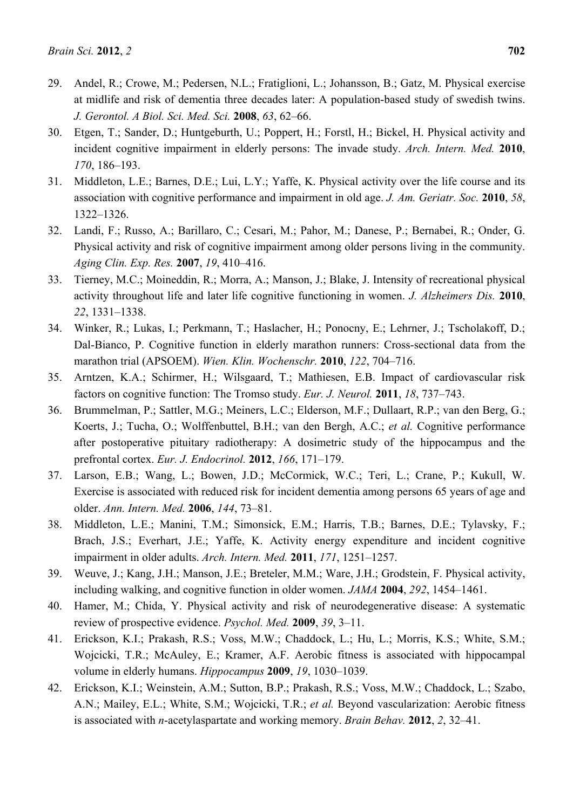- 29. Andel, R.; Crowe, M.; Pedersen, N.L.; Fratiglioni, L.; Johansson, B.; Gatz, M. Physical exercise at midlife and risk of dementia three decades later: A population-based study of swedish twins. *J. Gerontol. A Biol. Sci. Med. Sci.* **2008**, *63*, 62–66.
- 30. Etgen, T.; Sander, D.; Huntgeburth, U.; Poppert, H.; Forstl, H.; Bickel, H. Physical activity and incident cognitive impairment in elderly persons: The invade study. *Arch. Intern. Med.* **2010**, *170*, 186–193.
- 31. Middleton, L.E.; Barnes, D.E.; Lui, L.Y.; Yaffe, K. Physical activity over the life course and its association with cognitive performance and impairment in old age. *J. Am. Geriatr. Soc.* **2010**, *58*, 1322–1326.
- 32. Landi, F.; Russo, A.; Barillaro, C.; Cesari, M.; Pahor, M.; Danese, P.; Bernabei, R.; Onder, G. Physical activity and risk of cognitive impairment among older persons living in the community. *Aging Clin. Exp. Res.* **2007**, *19*, 410–416.
- 33. Tierney, M.C.; Moineddin, R.; Morra, A.; Manson, J.; Blake, J. Intensity of recreational physical activity throughout life and later life cognitive functioning in women. *J. Alzheimers Dis.* **2010**, *22*, 1331–1338.
- 34. Winker, R.; Lukas, I.; Perkmann, T.; Haslacher, H.; Ponocny, E.; Lehrner, J.; Tscholakoff, D.; Dal-Bianco, P. Cognitive function in elderly marathon runners: Cross-sectional data from the marathon trial (APSOEM). *Wien. Klin. Wochenschr.* **2010**, *122*, 704–716.
- 35. Arntzen, K.A.; Schirmer, H.; Wilsgaard, T.; Mathiesen, E.B. Impact of cardiovascular risk factors on cognitive function: The Tromso study. *Eur. J. Neurol.* **2011**, *18*, 737–743.
- 36. Brummelman, P.; Sattler, M.G.; Meiners, L.C.; Elderson, M.F.; Dullaart, R.P.; van den Berg, G.; Koerts, J.; Tucha, O.; Wolffenbuttel, B.H.; van den Bergh, A.C.; *et al.* Cognitive performance after postoperative pituitary radiotherapy: A dosimetric study of the hippocampus and the prefrontal cortex. *Eur. J. Endocrinol.* **2012**, *166*, 171–179.
- 37. Larson, E.B.; Wang, L.; Bowen, J.D.; McCormick, W.C.; Teri, L.; Crane, P.; Kukull, W. Exercise is associated with reduced risk for incident dementia among persons 65 years of age and older. *Ann. Intern. Med.* **2006**, *144*, 73–81.
- 38. Middleton, L.E.; Manini, T.M.; Simonsick, E.M.; Harris, T.B.; Barnes, D.E.; Tylavsky, F.; Brach, J.S.; Everhart, J.E.; Yaffe, K. Activity energy expenditure and incident cognitive impairment in older adults. *Arch. Intern. Med.* **2011**, *171*, 1251–1257.
- 39. Weuve, J.; Kang, J.H.; Manson, J.E.; Breteler, M.M.; Ware, J.H.; Grodstein, F. Physical activity, including walking, and cognitive function in older women. *JAMA* **2004**, *292*, 1454–1461.
- 40. Hamer, M.; Chida, Y. Physical activity and risk of neurodegenerative disease: A systematic review of prospective evidence. *Psychol. Med.* **2009**, *39*, 3–11.
- 41. Erickson, K.I.; Prakash, R.S.; Voss, M.W.; Chaddock, L.; Hu, L.; Morris, K.S.; White, S.M.; Wojcicki, T.R.; McAuley, E.; Kramer, A.F. Aerobic fitness is associated with hippocampal volume in elderly humans. *Hippocampus* **2009**, *19*, 1030–1039.
- 42. Erickson, K.I.; Weinstein, A.M.; Sutton, B.P.; Prakash, R.S.; Voss, M.W.; Chaddock, L.; Szabo, A.N.; Mailey, E.L.; White, S.M.; Wojcicki, T.R.; *et al.* Beyond vascularization: Aerobic fitness is associated with *n*-acetylaspartate and working memory. *Brain Behav.* **2012**, *2*, 32–41.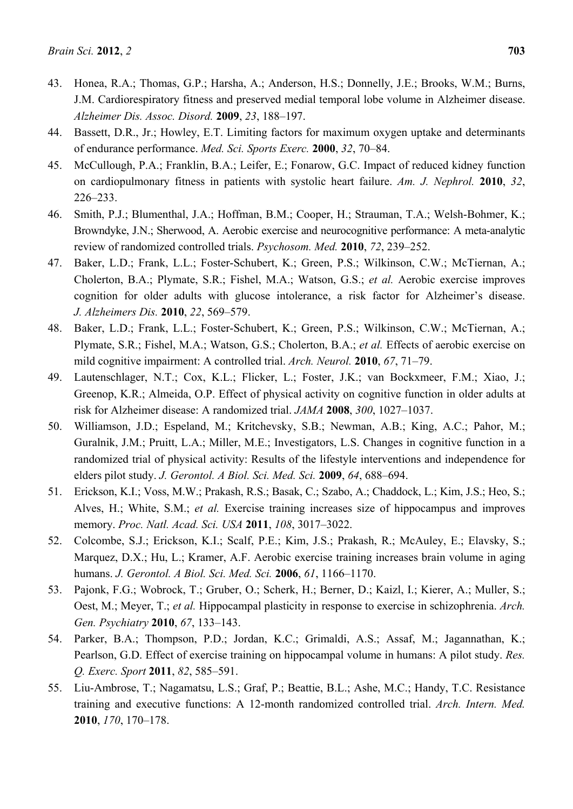- 43. Honea, R.A.; Thomas, G.P.; Harsha, A.; Anderson, H.S.; Donnelly, J.E.; Brooks, W.M.; Burns, J.M. Cardiorespiratory fitness and preserved medial temporal lobe volume in Alzheimer disease. *Alzheimer Dis. Assoc. Disord.* **2009**, *23*, 188–197.
- 44. Bassett, D.R., Jr.; Howley, E.T. Limiting factors for maximum oxygen uptake and determinants of endurance performance. *Med. Sci. Sports Exerc.* **2000**, *32*, 70–84.
- 45. McCullough, P.A.; Franklin, B.A.; Leifer, E.; Fonarow, G.C. Impact of reduced kidney function on cardiopulmonary fitness in patients with systolic heart failure. *Am. J. Nephrol.* **2010**, *32*, 226–233.
- 46. Smith, P.J.; Blumenthal, J.A.; Hoffman, B.M.; Cooper, H.; Strauman, T.A.; Welsh-Bohmer, K.; Browndyke, J.N.; Sherwood, A. Aerobic exercise and neurocognitive performance: A meta-analytic review of randomized controlled trials. *Psychosom. Med.* **2010**, *72*, 239–252.
- 47. Baker, L.D.; Frank, L.L.; Foster-Schubert, K.; Green, P.S.; Wilkinson, C.W.; McTiernan, A.; Cholerton, B.A.; Plymate, S.R.; Fishel, M.A.; Watson, G.S.; *et al.* Aerobic exercise improves cognition for older adults with glucose intolerance, a risk factor for Alzheimer's disease. *J. Alzheimers Dis.* **2010**, *22*, 569–579.
- 48. Baker, L.D.; Frank, L.L.; Foster-Schubert, K.; Green, P.S.; Wilkinson, C.W.; McTiernan, A.; Plymate, S.R.; Fishel, M.A.; Watson, G.S.; Cholerton, B.A.; *et al.* Effects of aerobic exercise on mild cognitive impairment: A controlled trial. *Arch. Neurol.* **2010**, *67*, 71–79.
- 49. Lautenschlager, N.T.; Cox, K.L.; Flicker, L.; Foster, J.K.; van Bockxmeer, F.M.; Xiao, J.; Greenop, K.R.; Almeida, O.P. Effect of physical activity on cognitive function in older adults at risk for Alzheimer disease: A randomized trial. *JAMA* **2008**, *300*, 1027–1037.
- 50. Williamson, J.D.; Espeland, M.; Kritchevsky, S.B.; Newman, A.B.; King, A.C.; Pahor, M.; Guralnik, J.M.; Pruitt, L.A.; Miller, M.E.; Investigators, L.S. Changes in cognitive function in a randomized trial of physical activity: Results of the lifestyle interventions and independence for elders pilot study. *J. Gerontol. A Biol. Sci. Med. Sci.* **2009**, *64*, 688–694.
- 51. Erickson, K.I.; Voss, M.W.; Prakash, R.S.; Basak, C.; Szabo, A.; Chaddock, L.; Kim, J.S.; Heo, S.; Alves, H.; White, S.M.; *et al.* Exercise training increases size of hippocampus and improves memory. *Proc. Natl. Acad. Sci. USA* **2011**, *108*, 3017–3022.
- 52. Colcombe, S.J.; Erickson, K.I.; Scalf, P.E.; Kim, J.S.; Prakash, R.; McAuley, E.; Elavsky, S.; Marquez, D.X.; Hu, L.; Kramer, A.F. Aerobic exercise training increases brain volume in aging humans. *J. Gerontol. A Biol. Sci. Med. Sci.* **2006**, *61*, 1166–1170.
- 53. Pajonk, F.G.; Wobrock, T.; Gruber, O.; Scherk, H.; Berner, D.; Kaizl, I.; Kierer, A.; Muller, S.; Oest, M.; Meyer, T.; *et al.* Hippocampal plasticity in response to exercise in schizophrenia. *Arch. Gen. Psychiatry* **2010**, *67*, 133–143.
- 54. Parker, B.A.; Thompson, P.D.; Jordan, K.C.; Grimaldi, A.S.; Assaf, M.; Jagannathan, K.; Pearlson, G.D. Effect of exercise training on hippocampal volume in humans: A pilot study. *Res. Q. Exerc. Sport* **2011**, *82*, 585–591.
- 55. Liu-Ambrose, T.; Nagamatsu, L.S.; Graf, P.; Beattie, B.L.; Ashe, M.C.; Handy, T.C. Resistance training and executive functions: A 12-month randomized controlled trial. *Arch. Intern. Med.*  **2010**, *170*, 170–178.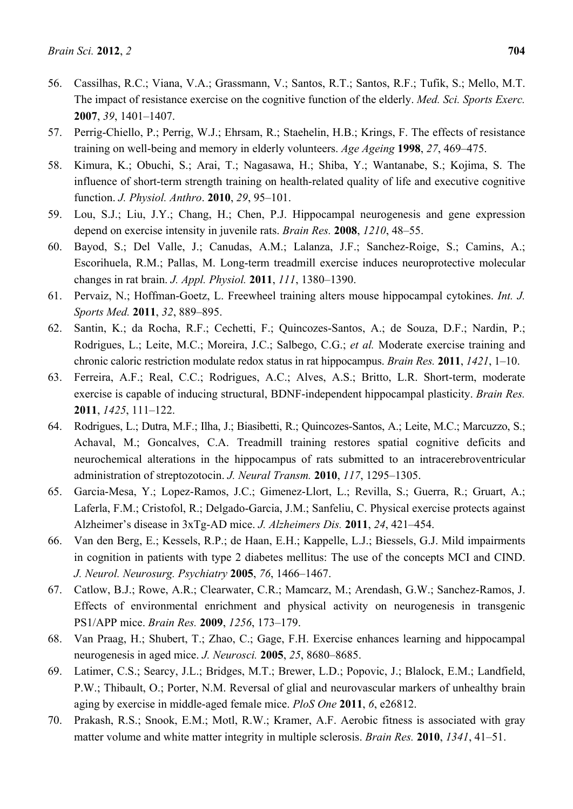- 56. Cassilhas, R.C.; Viana, V.A.; Grassmann, V.; Santos, R.T.; Santos, R.F.; Tufik, S.; Mello, M.T. The impact of resistance exercise on the cognitive function of the elderly. *Med. Sci. Sports Exerc.*  **2007**, *39*, 1401–1407.
- 57. Perrig-Chiello, P.; Perrig, W.J.; Ehrsam, R.; Staehelin, H.B.; Krings, F. The effects of resistance training on well-being and memory in elderly volunteers. *Age Ageing* **1998**, *27*, 469–475.
- 58. Kimura, K.; Obuchi, S.; Arai, T.; Nagasawa, H.; Shiba, Y.; Wantanabe, S.; Kojima, S. The influence of short-term strength training on health-related quality of life and executive cognitive function. *J. Physiol. Anthro*. **2010**, *29*, 95–101.
- 59. Lou, S.J.; Liu, J.Y.; Chang, H.; Chen, P.J. Hippocampal neurogenesis and gene expression depend on exercise intensity in juvenile rats. *Brain Res.* **2008**, *1210*, 48–55.
- 60. Bayod, S.; Del Valle, J.; Canudas, A.M.; Lalanza, J.F.; Sanchez-Roige, S.; Camins, A.; Escorihuela, R.M.; Pallas, M. Long-term treadmill exercise induces neuroprotective molecular changes in rat brain. *J. Appl. Physiol.* **2011**, *111*, 1380–1390.
- 61. Pervaiz, N.; Hoffman-Goetz, L. Freewheel training alters mouse hippocampal cytokines. *Int. J. Sports Med.* **2011**, *32*, 889–895.
- 62. Santin, K.; da Rocha, R.F.; Cechetti, F.; Quincozes-Santos, A.; de Souza, D.F.; Nardin, P.; Rodrigues, L.; Leite, M.C.; Moreira, J.C.; Salbego, C.G.; *et al.* Moderate exercise training and chronic caloric restriction modulate redox status in rat hippocampus. *Brain Res.* **2011**, *1421*, 1–10.
- 63. Ferreira, A.F.; Real, C.C.; Rodrigues, A.C.; Alves, A.S.; Britto, L.R. Short-term, moderate exercise is capable of inducing structural, BDNF-independent hippocampal plasticity. *Brain Res.*  **2011**, *1425*, 111–122.
- 64. Rodrigues, L.; Dutra, M.F.; Ilha, J.; Biasibetti, R.; Quincozes-Santos, A.; Leite, M.C.; Marcuzzo, S.; Achaval, M.; Goncalves, C.A. Treadmill training restores spatial cognitive deficits and neurochemical alterations in the hippocampus of rats submitted to an intracerebroventricular administration of streptozotocin. *J. Neural Transm.* **2010**, *117*, 1295–1305.
- 65. Garcia-Mesa, Y.; Lopez-Ramos, J.C.; Gimenez-Llort, L.; Revilla, S.; Guerra, R.; Gruart, A.; Laferla, F.M.; Cristofol, R.; Delgado-Garcia, J.M.; Sanfeliu, C. Physical exercise protects against Alzheimer's disease in 3xTg-AD mice. *J. Alzheimers Dis.* **2011**, *24*, 421–454.
- 66. Van den Berg, E.; Kessels, R.P.; de Haan, E.H.; Kappelle, L.J.; Biessels, G.J. Mild impairments in cognition in patients with type 2 diabetes mellitus: The use of the concepts MCI and CIND. *J. Neurol. Neurosurg. Psychiatry* **2005**, *76*, 1466–1467.
- 67. Catlow, B.J.; Rowe, A.R.; Clearwater, C.R.; Mamcarz, M.; Arendash, G.W.; Sanchez-Ramos, J. Effects of environmental enrichment and physical activity on neurogenesis in transgenic PS1/APP mice. *Brain Res.* **2009**, *1256*, 173–179.
- 68. Van Praag, H.; Shubert, T.; Zhao, C.; Gage, F.H. Exercise enhances learning and hippocampal neurogenesis in aged mice. *J. Neurosci.* **2005**, *25*, 8680–8685.
- 69. Latimer, C.S.; Searcy, J.L.; Bridges, M.T.; Brewer, L.D.; Popovic, J.; Blalock, E.M.; Landfield, P.W.; Thibault, O.; Porter, N.M. Reversal of glial and neurovascular markers of unhealthy brain aging by exercise in middle-aged female mice. *PloS One* **2011**, *6*, e26812.
- 70. Prakash, R.S.; Snook, E.M.; Motl, R.W.; Kramer, A.F. Aerobic fitness is associated with gray matter volume and white matter integrity in multiple sclerosis. *Brain Res.* **2010**, *1341*, 41–51.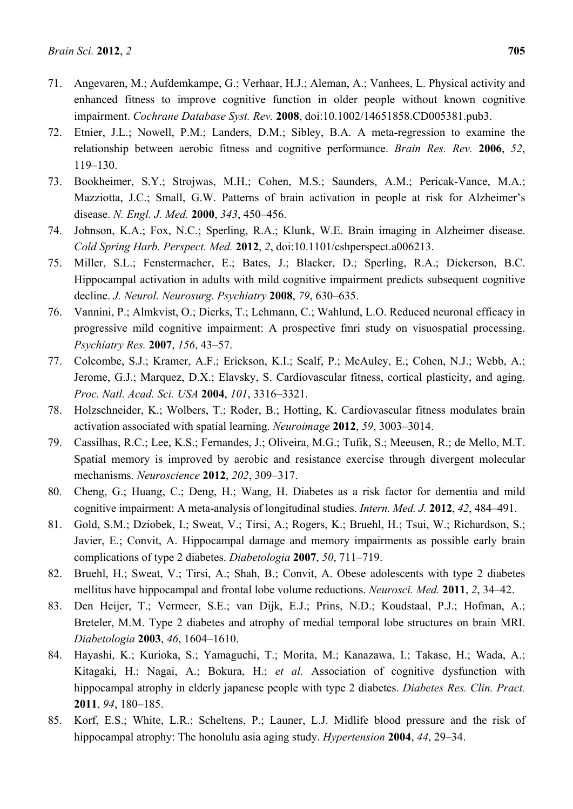- 71. Angevaren, M.; Aufdemkampe, G.; Verhaar, H.J.; Aleman, A.; Vanhees, L. Physical activity and enhanced fitness to improve cognitive function in older people without known cognitive impairment. *Cochrane Database Syst. Rev.* **2008**, doi:10.1002/14651858.CD005381.pub3.
- 72. Etnier, J.L.; Nowell, P.M.; Landers, D.M.; Sibley, B.A. A meta-regression to examine the relationship between aerobic fitness and cognitive performance. *Brain Res. Rev.* **2006**, *52*, 119–130.
- 73. Bookheimer, S.Y.; Strojwas, M.H.; Cohen, M.S.; Saunders, A.M.; Pericak-Vance, M.A.; Mazziotta, J.C.; Small, G.W. Patterns of brain activation in people at risk for Alzheimer's disease. *N. Engl. J. Med.* **2000**, *343*, 450–456.
- 74. Johnson, K.A.; Fox, N.C.; Sperling, R.A.; Klunk, W.E. Brain imaging in Alzheimer disease. *Cold Spring Harb. Perspect. Med.* **2012**, *2*, doi:10.1101/cshperspect.a006213.
- 75. Miller, S.L.; Fenstermacher, E.; Bates, J.; Blacker, D.; Sperling, R.A.; Dickerson, B.C. Hippocampal activation in adults with mild cognitive impairment predicts subsequent cognitive decline. *J. Neurol. Neurosurg. Psychiatry* **2008**, *79*, 630–635.
- 76. Vannini, P.; Almkvist, O.; Dierks, T.; Lehmann, C.; Wahlund, L.O. Reduced neuronal efficacy in progressive mild cognitive impairment: A prospective fmri study on visuospatial processing. *Psychiatry Res.* **2007**, *156*, 43–57.
- 77. Colcombe, S.J.; Kramer, A.F.; Erickson, K.I.; Scalf, P.; McAuley, E.; Cohen, N.J.; Webb, A.; Jerome, G.J.; Marquez, D.X.; Elavsky, S. Cardiovascular fitness, cortical plasticity, and aging. *Proc. Natl. Acad. Sci. USA* **2004**, *101*, 3316–3321.
- 78. Holzschneider, K.; Wolbers, T.; Roder, B.; Hotting, K. Cardiovascular fitness modulates brain activation associated with spatial learning. *Neuroimage* **2012**, *59*, 3003–3014.
- 79. Cassilhas, R.C.; Lee, K.S.; Fernandes, J.; Oliveira, M.G.; Tufik, S.; Meeusen, R.; de Mello, M.T. Spatial memory is improved by aerobic and resistance exercise through divergent molecular mechanisms. *Neuroscience* **2012**, *202*, 309–317.
- 80. Cheng, G.; Huang, C.; Deng, H.; Wang, H. Diabetes as a risk factor for dementia and mild cognitive impairment: A meta-analysis of longitudinal studies. *Intern. Med. J.* **2012**, *42*, 484–491.
- 81. Gold, S.M.; Dziobek, I.; Sweat, V.; Tirsi, A.; Rogers, K.; Bruehl, H.; Tsui, W.; Richardson, S.; Javier, E.; Convit, A. Hippocampal damage and memory impairments as possible early brain complications of type 2 diabetes. *Diabetologia* **2007**, *50*, 711–719.
- 82. Bruehl, H.; Sweat, V.; Tirsi, A.; Shah, B.; Convit, A. Obese adolescents with type 2 diabetes mellitus have hippocampal and frontal lobe volume reductions. *Neurosci. Med.* **2011**, *2*, 34–42.
- 83. Den Heijer, T.; Vermeer, S.E.; van Dijk, E.J.; Prins, N.D.; Koudstaal, P.J.; Hofman, A.; Breteler, M.M. Type 2 diabetes and atrophy of medial temporal lobe structures on brain MRI. *Diabetologia* **2003**, *46*, 1604–1610.
- 84. Hayashi, K.; Kurioka, S.; Yamaguchi, T.; Morita, M.; Kanazawa, I.; Takase, H.; Wada, A.; Kitagaki, H.; Nagai, A.; Bokura, H.; *et al.* Association of cognitive dysfunction with hippocampal atrophy in elderly japanese people with type 2 diabetes. *Diabetes Res. Clin. Pract.*  **2011**, *94*, 180–185.
- 85. Korf, E.S.; White, L.R.; Scheltens, P.; Launer, L.J. Midlife blood pressure and the risk of hippocampal atrophy: The honolulu asia aging study. *Hypertension* **2004**, *44*, 29–34.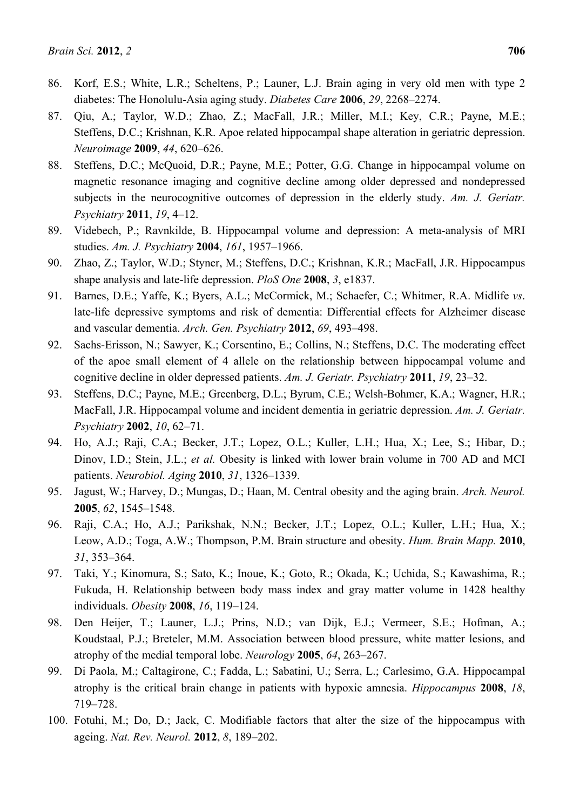- 86. Korf, E.S.; White, L.R.; Scheltens, P.; Launer, L.J. Brain aging in very old men with type 2 diabetes: The Honolulu-Asia aging study. *Diabetes Care* **2006**, *29*, 2268–2274.
- 87. Qiu, A.; Taylor, W.D.; Zhao, Z.; MacFall, J.R.; Miller, M.I.; Key, C.R.; Payne, M.E.; Steffens, D.C.; Krishnan, K.R. Apoe related hippocampal shape alteration in geriatric depression. *Neuroimage* **2009**, *44*, 620–626.
- 88. Steffens, D.C.; McQuoid, D.R.; Payne, M.E.; Potter, G.G. Change in hippocampal volume on magnetic resonance imaging and cognitive decline among older depressed and nondepressed subjects in the neurocognitive outcomes of depression in the elderly study. *Am. J. Geriatr. Psychiatry* **2011**, *19*, 4–12.
- 89. Videbech, P.; Ravnkilde, B. Hippocampal volume and depression: A meta-analysis of MRI studies. *Am. J. Psychiatry* **2004**, *161*, 1957–1966.
- 90. Zhao, Z.; Taylor, W.D.; Styner, M.; Steffens, D.C.; Krishnan, K.R.; MacFall, J.R. Hippocampus shape analysis and late-life depression. *PloS One* **2008**, *3*, e1837.
- 91. Barnes, D.E.; Yaffe, K.; Byers, A.L.; McCormick, M.; Schaefer, C.; Whitmer, R.A. Midlife *vs*. late-life depressive symptoms and risk of dementia: Differential effects for Alzheimer disease and vascular dementia. *Arch. Gen. Psychiatry* **2012**, *69*, 493–498.
- 92. Sachs-Erisson, N.; Sawyer, K.; Corsentino, E.; Collins, N.; Steffens, D.C. The moderating effect of the apoe small element of 4 allele on the relationship between hippocampal volume and cognitive decline in older depressed patients. *Am. J. Geriatr. Psychiatry* **2011**, *19*, 23–32.
- 93. Steffens, D.C.; Payne, M.E.; Greenberg, D.L.; Byrum, C.E.; Welsh-Bohmer, K.A.; Wagner, H.R.; MacFall, J.R. Hippocampal volume and incident dementia in geriatric depression. *Am. J. Geriatr. Psychiatry* **2002**, *10*, 62–71.
- 94. Ho, A.J.; Raji, C.A.; Becker, J.T.; Lopez, O.L.; Kuller, L.H.; Hua, X.; Lee, S.; Hibar, D.; Dinov, I.D.; Stein, J.L.; *et al.* Obesity is linked with lower brain volume in 700 AD and MCI patients. *Neurobiol. Aging* **2010**, *31*, 1326–1339.
- 95. Jagust, W.; Harvey, D.; Mungas, D.; Haan, M. Central obesity and the aging brain. *Arch. Neurol.*  **2005**, *62*, 1545–1548.
- 96. Raji, C.A.; Ho, A.J.; Parikshak, N.N.; Becker, J.T.; Lopez, O.L.; Kuller, L.H.; Hua, X.; Leow, A.D.; Toga, A.W.; Thompson, P.M. Brain structure and obesity. *Hum. Brain Mapp.* **2010**, *31*, 353–364.
- 97. Taki, Y.; Kinomura, S.; Sato, K.; Inoue, K.; Goto, R.; Okada, K.; Uchida, S.; Kawashima, R.; Fukuda, H. Relationship between body mass index and gray matter volume in 1428 healthy individuals. *Obesity* **2008**, *16*, 119–124.
- 98. Den Heijer, T.; Launer, L.J.; Prins, N.D.; van Dijk, E.J.; Vermeer, S.E.; Hofman, A.; Koudstaal, P.J.; Breteler, M.M. Association between blood pressure, white matter lesions, and atrophy of the medial temporal lobe. *Neurology* **2005**, *64*, 263–267.
- 99. Di Paola, M.; Caltagirone, C.; Fadda, L.; Sabatini, U.; Serra, L.; Carlesimo, G.A. Hippocampal atrophy is the critical brain change in patients with hypoxic amnesia. *Hippocampus* **2008**, *18*, 719–728.
- 100. Fotuhi, M.; Do, D.; Jack, C. Modifiable factors that alter the size of the hippocampus with ageing. *Nat. Rev. Neurol.* **2012**, *8*, 189–202.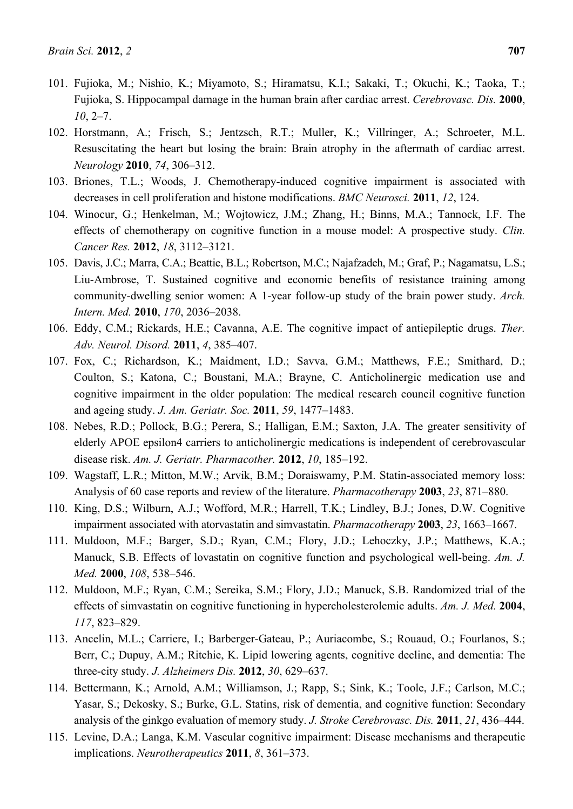- 101. Fujioka, M.; Nishio, K.; Miyamoto, S.; Hiramatsu, K.I.; Sakaki, T.; Okuchi, K.; Taoka, T.; Fujioka, S. Hippocampal damage in the human brain after cardiac arrest. *Cerebrovasc. Dis.* **2000**, *10*, 2–7.
- 102. Horstmann, A.; Frisch, S.; Jentzsch, R.T.; Muller, K.; Villringer, A.; Schroeter, M.L. Resuscitating the heart but losing the brain: Brain atrophy in the aftermath of cardiac arrest. *Neurology* **2010**, *74*, 306–312.
- 103. Briones, T.L.; Woods, J. Chemotherapy-induced cognitive impairment is associated with decreases in cell proliferation and histone modifications. *BMC Neurosci.* **2011**, *12*, 124.
- 104. Winocur, G.; Henkelman, M.; Wojtowicz, J.M.; Zhang, H.; Binns, M.A.; Tannock, I.F. The effects of chemotherapy on cognitive function in a mouse model: A prospective study. *Clin. Cancer Res.* **2012**, *18*, 3112–3121.
- 105. Davis, J.C.; Marra, C.A.; Beattie, B.L.; Robertson, M.C.; Najafzadeh, M.; Graf, P.; Nagamatsu, L.S.; Liu-Ambrose, T. Sustained cognitive and economic benefits of resistance training among community-dwelling senior women: A 1-year follow-up study of the brain power study. *Arch. Intern. Med.* **2010**, *170*, 2036–2038.
- 106. Eddy, C.M.; Rickards, H.E.; Cavanna, A.E. The cognitive impact of antiepileptic drugs. *Ther. Adv. Neurol. Disord.* **2011**, *4*, 385–407.
- 107. Fox, C.; Richardson, K.; Maidment, I.D.; Savva, G.M.; Matthews, F.E.; Smithard, D.; Coulton, S.; Katona, C.; Boustani, M.A.; Brayne, C. Anticholinergic medication use and cognitive impairment in the older population: The medical research council cognitive function and ageing study. *J. Am. Geriatr. Soc.* **2011**, *59*, 1477–1483.
- 108. Nebes, R.D.; Pollock, B.G.; Perera, S.; Halligan, E.M.; Saxton, J.A. The greater sensitivity of elderly APOE epsilon4 carriers to anticholinergic medications is independent of cerebrovascular disease risk. *Am. J. Geriatr. Pharmacother.* **2012**, *10*, 185–192.
- 109. Wagstaff, L.R.; Mitton, M.W.; Arvik, B.M.; Doraiswamy, P.M. Statin-associated memory loss: Analysis of 60 case reports and review of the literature. *Pharmacotherapy* **2003**, *23*, 871–880.
- 110. King, D.S.; Wilburn, A.J.; Wofford, M.R.; Harrell, T.K.; Lindley, B.J.; Jones, D.W. Cognitive impairment associated with atorvastatin and simvastatin. *Pharmacotherapy* **2003**, *23*, 1663–1667.
- 111. Muldoon, M.F.; Barger, S.D.; Ryan, C.M.; Flory, J.D.; Lehoczky, J.P.; Matthews, K.A.; Manuck, S.B. Effects of lovastatin on cognitive function and psychological well-being. *Am. J. Med.* **2000**, *108*, 538–546.
- 112. Muldoon, M.F.; Ryan, C.M.; Sereika, S.M.; Flory, J.D.; Manuck, S.B. Randomized trial of the effects of simvastatin on cognitive functioning in hypercholesterolemic adults. *Am. J. Med.* **2004**, *117*, 823–829.
- 113. Ancelin, M.L.; Carriere, I.; Barberger-Gateau, P.; Auriacombe, S.; Rouaud, O.; Fourlanos, S.; Berr, C.; Dupuy, A.M.; Ritchie, K. Lipid lowering agents, cognitive decline, and dementia: The three-city study. *J. Alzheimers Dis.* **2012**, *30*, 629–637.
- 114. Bettermann, K.; Arnold, A.M.; Williamson, J.; Rapp, S.; Sink, K.; Toole, J.F.; Carlson, M.C.; Yasar, S.; Dekosky, S.; Burke, G.L. Statins, risk of dementia, and cognitive function: Secondary analysis of the ginkgo evaluation of memory study. *J. Stroke Cerebrovasc. Dis.* **2011**, *21*, 436–444.
- 115. Levine, D.A.; Langa, K.M. Vascular cognitive impairment: Disease mechanisms and therapeutic implications. *Neurotherapeutics* **2011**, *8*, 361–373.